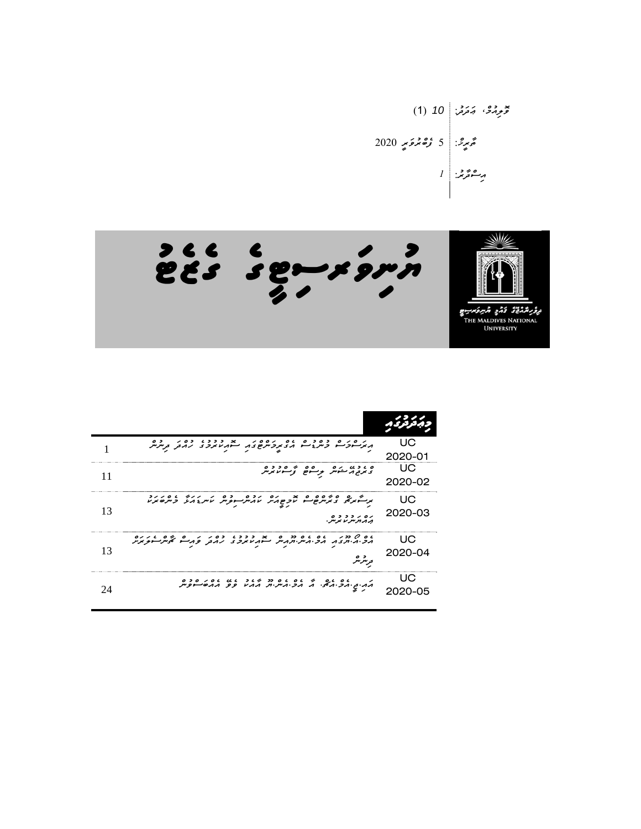ޮވލިއުމ،ް ޢަދަދ:ު *10* (1) ތާރީޚ:ް 5 ފެބްރު ަވރީ 2020 އިސްދާރ:ު 1 



|    | ×<br>, <i>.</i><br>, , ,<br>$\circ$ , $\circ$ ,<br>أمالي مرحاس فأواسع مرامر وأسرف المرامر المراشر<br>بربرسورسو وسرياسو | UC      |
|----|------------------------------------------------------------------------------------------------------------------------|---------|
|    |                                                                                                                        | 2020-01 |
|    | و ، د ، پر شر پر شرح گرم د د ه                                                                                         | UC      |
| 11 |                                                                                                                        | 2020-02 |
|    | برگردهی و پرسرها ما در در مرکز کرسر کرد کرده برد<br>برگردهی و پرسرها ما در پارسر مرکز کرده برد و شره برد               | UC      |
| 13 | <i>。,,,,,</i> ,                                                                                                        | 2020-03 |
|    | بر بر بر سر سر سر .                                                                                                    |         |
|    | ، ہ ص دو ر<br>$0 \quad \text{and} \quad 0 \in$<br>גביגיונים גביגיוניות ולגיעים כבר הגב קקים לייליים                    | UC      |
| 13 | ىرىترىتر                                                                                                               | 2020-04 |
|    |                                                                                                                        |         |
|    | הה הם הם ידי הם הם כל ידי המי הם הם כם ה<br>ההיק יהכי האי היה ההיה האי מה שם ההסיינקית                                 | UC      |
| 24 |                                                                                                                        | 2020-05 |
|    |                                                                                                                        |         |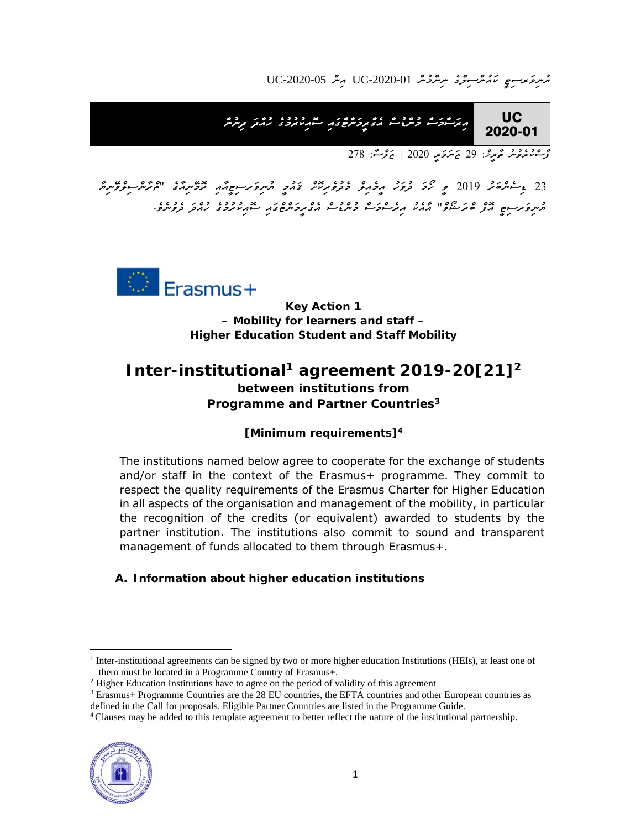سروَمرسومِ عَمْہُرْسوءِ مِسروْءُ مِسروَمَّةِ UC-2020-01 مِسَّةِ UC-2020-05



ِ<br>رَّوَّسُوْمِيْرِ مَهْرِيْنِ 29 مَ يَرَوَ بِهِ 2020 | نَحْرُ يَجْبُ 278

23 ¿ غَ عَشْرَهُ جَدِ 2019 ۚ مِنْ كُرْحَ ٱلْمُرْكِّرِ ٱلْمُرْكَّرِ ٱلْمُرْكَّرِ ٱلْمُرْكَّرِينَ وَٱلْمُرْكَّرِ<br>23 إِنْ عَشْرَهُ مِنْ الْأَرْضَ إِلَى الْمُرْكَّرِ ٱلْمُرْكَّرِ ٱلْمُرْكَّرِ ٱلْمُرْكَّرِ ٱلْمُرْكَّرَةِ ٱلْمُ ޔުނިވަރސިޓީ އޮފް ބްރަޝޯވް" އާއެކު އިރެސްމަސް މުންޑުސް އެގްރީމަންޓްގައި ސޮއިކުރުމުގެ ހުއްދަ ދެވުނެވ.ެ

 $\mathbb{C}$  Erasmus+

# **Key Action 1 – Mobility for learners and staff – Higher Education Student and Staff Mobility**

# Inter-institutional<sup>1</sup> agreement 2019-20[21]<sup>2</sup> **between institutions from Programme and Partner Countries3**

# **[Minimum requirements]4**

The institutions named below agree to cooperate for the exchange of students and/or staff in the context of the Erasmus+ programme. They commit to respect the quality requirements of the Erasmus Charter for Higher Education in all aspects of the organisation and management of the mobility, in particular the recognition of the credits (or equivalent) awarded to students by the partner institution. The institutions also commit to sound and transparent management of funds allocated to them through Erasmus+.

# **A. Information about higher education institutions**

<sup>4</sup> Clauses may be added to this template agreement to better reflect the nature of the institutional partnership.



<sup>&</sup>lt;sup>1</sup> Inter-institutional agreements can be signed by two or more higher education Institutions (HEIs), at least one of them must be located in a Programme Country of Erasmus+. 2

<sup>&</sup>lt;sup>2</sup> Higher Education Institutions have to agree on the period of validity of this agreement

<sup>3</sup> Erasmus+ Programme Countries are the 28 EU countries, the EFTA countries and other European countries as defined in the Call for proposals. Eligible Partner Countries are listed in the Programme Guide.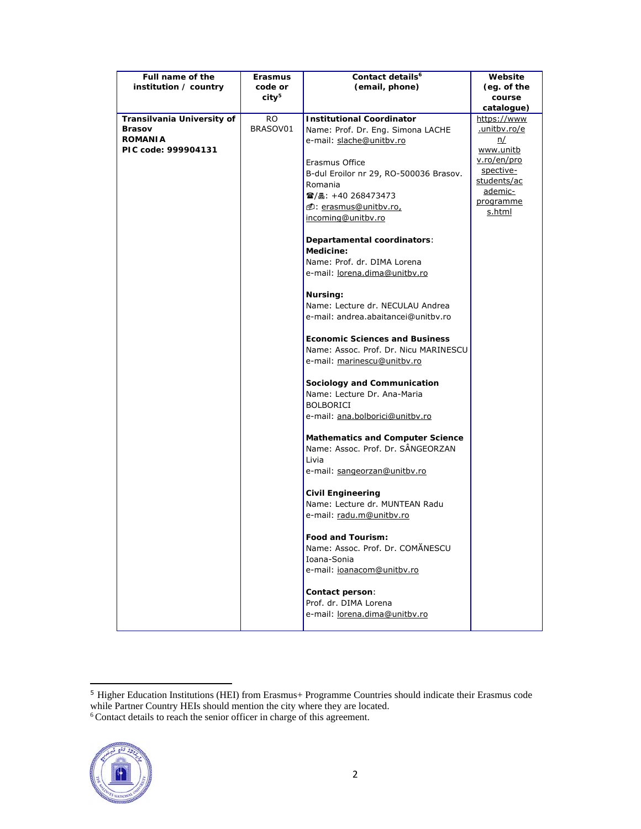| Full name of the           | Erasmus           | Contact details <sup>6</sup>            | Website                     |
|----------------------------|-------------------|-----------------------------------------|-----------------------------|
| institution / country      | code or           | (email, phone)                          | (eg. of the                 |
|                            | city <sup>5</sup> |                                         | course                      |
|                            |                   |                                         | catalogue)                  |
| Transilvania University of | RO.               | <b>Institutional Coordinator</b>        | https://www                 |
| <b>Brasov</b>              | BRASOV01          | Name: Prof. Dr. Eng. Simona LACHE       | unitby.ro/e                 |
| <b>ROMANIA</b>             |                   | e-mail: slache@unitbv.ro                | n/                          |
| PIC code: 999904131        |                   |                                         | www.unitb                   |
|                            |                   | Erasmus Office                          | v.ro/en/pro                 |
|                            |                   | B-dul Eroilor nr 29, RO-500036 Brasov.  | <u>spective-</u>            |
|                            |                   | Romania                                 | students/ac                 |
|                            |                   | 雷/昌: +40 268473473                      | <u>ademic-</u><br>programme |
|                            |                   | <b>ி:</b> erasmus@unitbv.ro,            | s.html                      |
|                            |                   | incoming@unitbv.ro                      |                             |
|                            |                   | Departamental coordinators:             |                             |
|                            |                   | Medicine:                               |                             |
|                            |                   | Name: Prof. dr. DIMA Lorena             |                             |
|                            |                   | e-mail: lorena.dima@unitbv.ro           |                             |
|                            |                   | Nursing:                                |                             |
|                            |                   | Name: Lecture dr. NECULAU Andrea        |                             |
|                            |                   | e-mail: andrea.abaitancei@unitbv.ro     |                             |
|                            |                   | <b>Economic Sciences and Business</b>   |                             |
|                            |                   | Name: Assoc. Prof. Dr. Nicu MARINESCU   |                             |
|                            |                   | e-mail: marinescu@unitbv.ro             |                             |
|                            |                   | Sociology and Communication             |                             |
|                            |                   | Name: Lecture Dr. Ana-Maria             |                             |
|                            |                   | BOLBORICI                               |                             |
|                            |                   | e-mail: ana.bolborici@unitbv.ro         |                             |
|                            |                   | <b>Mathematics and Computer Science</b> |                             |
|                            |                   | Name: Assoc. Prof. Dr. SÂNGEORZAN       |                             |
|                            |                   | Livia                                   |                             |
|                            |                   | e-mail: sangeorzan@unitbv.ro            |                             |
|                            |                   | <b>Civil Engineering</b>                |                             |
|                            |                   | Name: Lecture dr. MUNTEAN Radu          |                             |
|                            |                   | e-mail: radu.m@unitbv.ro                |                             |
|                            |                   | <b>Food and Tourism:</b>                |                             |
|                            |                   | Name: Assoc. Prof. Dr. COMĂNESCU        |                             |
|                            |                   | Ioana-Sonia                             |                             |
|                            |                   | e-mail: ioanacom@unitbv.ro              |                             |
|                            |                   | <b>Contact person:</b>                  |                             |
|                            |                   | Prof. dr. DIMA Lorena                   |                             |
|                            |                   | e-mail: lorena.dima@unitbv.ro           |                             |

<sup>&</sup>lt;sup>5</sup> Higher Education Institutions (HEI) from Erasmus+ Programme Countries should indicate their Erasmus code while Partner Country HEIs should mention the city where they are located.  $6$  Contact details to reach the senior officer in charge of this agreement.

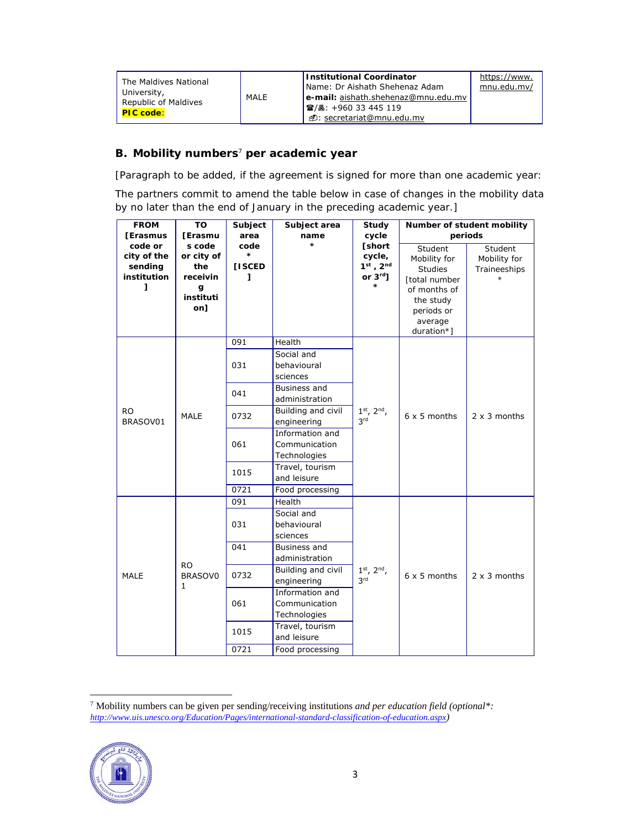| The Maldives National<br>University,<br>Republic of Maldives<br><b>PIC code:</b> | MALE | <b>Institutional Coordinator</b><br>Name: Dr Aishath Shehenaz Adam<br>e-mail: aishath.shehenaz@mnu.edu.mv<br>■/晶: +960 33 445 119<br><b>D</b> : secretariat@mnu.edu.mv | https://www.<br>mnu.edu.mv/ |
|----------------------------------------------------------------------------------|------|------------------------------------------------------------------------------------------------------------------------------------------------------------------------|-----------------------------|
|----------------------------------------------------------------------------------|------|------------------------------------------------------------------------------------------------------------------------------------------------------------------------|-----------------------------|

### **B. Mobility numbers**<sup>7</sup>  **per academic year**

*[Paragraph to be added, if the agreement is signed for more than one academic year: The partners commit to amend the table below in case of changes in the mobility data by no later than the end of January in the preceding academic year.]*

| <b>FROM</b><br>[Erasmus                                                                                                   | <b>TO</b><br>Subject<br>Subject area<br>[Erasmu<br>area<br>name |                                       | <b>Study</b><br>cycle                            | Number of student mobility<br>periods                    |                                                                                                                                          |                                                |
|---------------------------------------------------------------------------------------------------------------------------|-----------------------------------------------------------------|---------------------------------------|--------------------------------------------------|----------------------------------------------------------|------------------------------------------------------------------------------------------------------------------------------------------|------------------------------------------------|
| code or<br>s code<br>city of the<br>or city of<br>sending<br>the<br>institution<br>receivin<br>ı<br>g<br>instituti<br>on] |                                                                 | code<br>$\star$<br><b>[ISCED</b><br>1 | $\star$                                          | [short<br>cycle,<br>$1^{st}$ , $2^{nd}$<br>or $3^{rd}$ ] | Student<br>Mobility for<br><b>Studies</b><br><b>Itotal number</b><br>of months of<br>the study<br>periods or<br>average<br>$duration*$ ] | <b>Student</b><br>Mobility for<br>Traineeships |
|                                                                                                                           |                                                                 | 091                                   | Health                                           |                                                          |                                                                                                                                          |                                                |
|                                                                                                                           |                                                                 | 031                                   | Social and<br>behavioural<br>sciences            |                                                          |                                                                                                                                          |                                                |
|                                                                                                                           | MALE                                                            | 041                                   | Business and<br>administration                   |                                                          | $6 \times 5$ months                                                                                                                      | $2 \times 3$ months                            |
| <b>RO</b><br>BRASOV01                                                                                                     |                                                                 | 0732                                  | Building and civil<br>engineering                | $1^{st}$ , $2^{nd}$ ,<br>3 <sup>rd</sup>                 |                                                                                                                                          |                                                |
|                                                                                                                           |                                                                 | 061                                   | Information and<br>Communication<br>Technologies |                                                          |                                                                                                                                          |                                                |
|                                                                                                                           |                                                                 | 1015                                  | Travel, tourism<br>and leisure                   |                                                          |                                                                                                                                          |                                                |
|                                                                                                                           |                                                                 | 0721                                  | Food processing                                  |                                                          |                                                                                                                                          |                                                |
|                                                                                                                           |                                                                 | 091                                   | Health                                           |                                                          |                                                                                                                                          |                                                |
|                                                                                                                           |                                                                 | 031                                   | Social and<br>behavioural<br>sciences            |                                                          |                                                                                                                                          |                                                |
|                                                                                                                           |                                                                 | 041                                   | Business and<br>administration                   |                                                          |                                                                                                                                          |                                                |
| MALE                                                                                                                      | RO.<br>BRASOV0<br>1                                             | 0732                                  | Building and civil<br>engineering                | $1^{st}$ , $2^{nd}$ ,<br>3 <sup>rd</sup>                 | $6 \times 5$ months                                                                                                                      | $2 \times 3$ months                            |
|                                                                                                                           |                                                                 | 061                                   | Information and<br>Communication<br>Technologies |                                                          |                                                                                                                                          |                                                |
|                                                                                                                           |                                                                 | 1015                                  | Travel, tourism<br>and leisure                   |                                                          |                                                                                                                                          |                                                |
|                                                                                                                           |                                                                 | 0721                                  | Food processing                                  |                                                          |                                                                                                                                          |                                                |

7 Mobility numbers can be given per sending/receiving institutions *and per education field (optional\*: http://www.uis.unesco.org/Education/Pages/international-standard-classification-of-education.aspx)* 

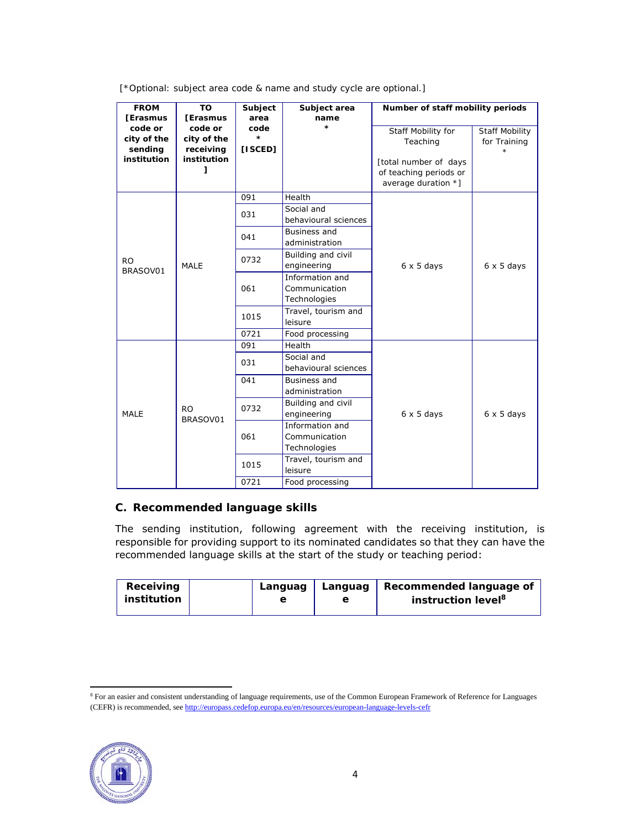| <b>FROM</b>                                      | <b>TO</b>                                               | Subject                       | Subject area                                     | Number of staff mobility periods                                                                         |                                       |
|--------------------------------------------------|---------------------------------------------------------|-------------------------------|--------------------------------------------------|----------------------------------------------------------------------------------------------------------|---------------------------------------|
| <b>Frasmus</b>                                   | <b>[Erasmus</b>                                         | area                          | name                                             |                                                                                                          |                                       |
| code or<br>city of the<br>sending<br>institution | code or<br>city of the<br>receiving<br>institution<br>ı | code<br>$\star$<br>$[$ ISCED] | $\star$                                          | Staff Mobility for<br>Teaching<br>[total number of days<br>of teaching periods or<br>average duration *] | <b>Staff Mobility</b><br>for Training |
|                                                  |                                                         | 091                           | Health                                           |                                                                                                          |                                       |
|                                                  |                                                         | 031                           | Social and<br>behavioural sciences               |                                                                                                          |                                       |
|                                                  | MALE                                                    | 041                           | Business and<br>administration                   |                                                                                                          |                                       |
| <b>RO</b><br>BRASOV01                            |                                                         | 0732                          | Building and civil<br>engineering                | $6 \times 5$ days                                                                                        | $6 \times 5$ days                     |
|                                                  |                                                         | 061                           | Information and<br>Communication<br>Technologies |                                                                                                          |                                       |
|                                                  |                                                         | 1015                          | Travel, tourism and<br>leisure                   |                                                                                                          |                                       |
|                                                  |                                                         | 0721                          | Food processing                                  |                                                                                                          |                                       |
|                                                  |                                                         | 091                           | Health                                           |                                                                                                          |                                       |
|                                                  | <b>RO</b><br>BRASOV01                                   | 031                           | Social and<br>behavioural sciences               |                                                                                                          |                                       |
|                                                  |                                                         | 041                           | Business and<br>administration                   |                                                                                                          |                                       |
| MALE                                             |                                                         | 0732                          | Building and civil<br>engineering                | $6 \times 5$ days                                                                                        | $6 \times 5$ days                     |
|                                                  |                                                         | 061                           | Information and<br>Communication<br>Technologies |                                                                                                          |                                       |
|                                                  |                                                         | 1015                          | Travel, tourism and<br>leisure                   |                                                                                                          |                                       |
|                                                  |                                                         | 0721                          | Food processing                                  |                                                                                                          |                                       |

*[\*Optional: subject area code & name and study cycle are optional.]* 

### **C. Recommended language skills**

The sending institution, following agreement with the receiving institution, is responsible for providing support to its nominated candidates so that they can have the recommended language skills at the start of the study or teaching period:

| Receiving   | Languag | Languag | Recommended language of        |
|-------------|---------|---------|--------------------------------|
| institution |         | е       | instruction level <sup>8</sup> |

<sup>&</sup>lt;sup>8</sup> For an easier and consistent understanding of language requirements, use of the Common European Framework of Reference for Languages (CEFR) is recommended, see http://europass.cedefop.europa.eu/en/resources/european-language-levels-cefr

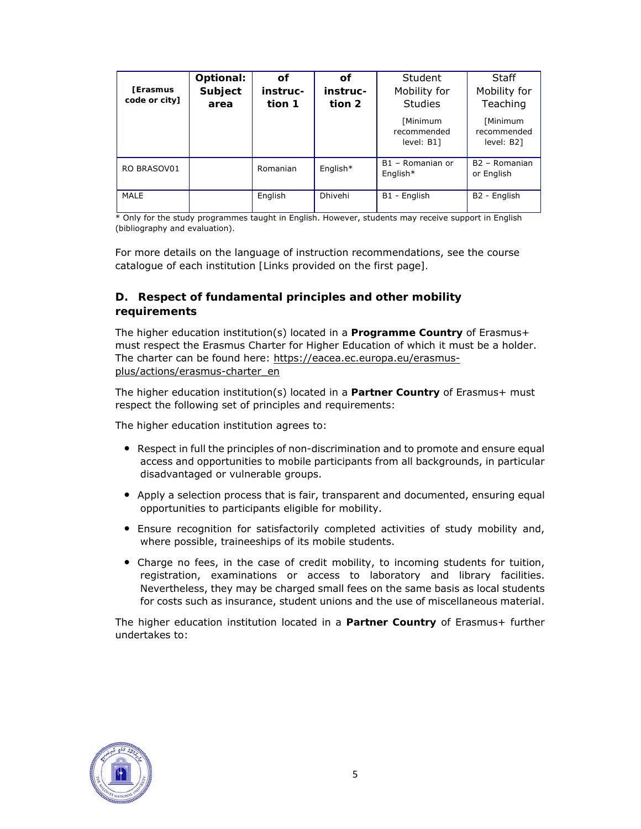| <b>[Erasmus</b><br>code or city] | Optional:<br><b>Subject</b><br>area | Ωf<br>instruc-<br>tion 1 | Οf<br>instruc-<br>tion 2 | Student<br>Mobility for<br><b>Studies</b> | Staff<br>Mobility for<br>Teaching       |
|----------------------------------|-------------------------------------|--------------------------|--------------------------|-------------------------------------------|-----------------------------------------|
|                                  |                                     |                          |                          | [Minimum<br>recommended<br>level: B1      | [Minimum<br>recommended<br>level: B2    |
| RO BRASOV01                      |                                     | Romanian                 | English*                 | B1 - Romanian or<br>English $*$           | B <sub>2</sub> - Romanian<br>or English |
| MALE                             |                                     | English                  | Dhivehi                  | B1 - English                              | B <sub>2</sub> - English                |

\* Only for the study programmes taught in English. However, students may receive support in English (bibliography and evaluation).

For more details on the language of instruction recommendations, see the course catalogue of each institution *[Links provided on the first page].* 

## **D. Respect of fundamental principles and other mobility requirements**

The higher education institution(s) located in a **Programme Country** of Erasmus+ must respect the Erasmus Charter for Higher Education of which it must be a holder. The charter can be found here: https://eacea.ec.europa.eu/erasmusplus/actions/erasmus-charter\_en

The higher education institution(s) located in a **Partner Country** of Erasmus+ must respect the following set of principles and requirements:

The higher education institution agrees to:

- Respect in full the principles of non-discrimination and to promote and ensure equal access and opportunities to mobile participants from all backgrounds, in particular disadvantaged or vulnerable groups.
- Apply a selection process that is fair, transparent and documented, ensuring equal opportunities to participants eligible for mobility.
- Ensure recognition for satisfactorily completed activities of study mobility and, where possible, traineeships of its mobile students.
- Charge no fees, in the case of credit mobility, to incoming students for tuition, registration, examinations or access to laboratory and library facilities. Nevertheless, they may be charged small fees on the same basis as local students for costs such as insurance, student unions and the use of miscellaneous material.

The higher education institution located in a **Partner Country** of Erasmus+ further undertakes to:

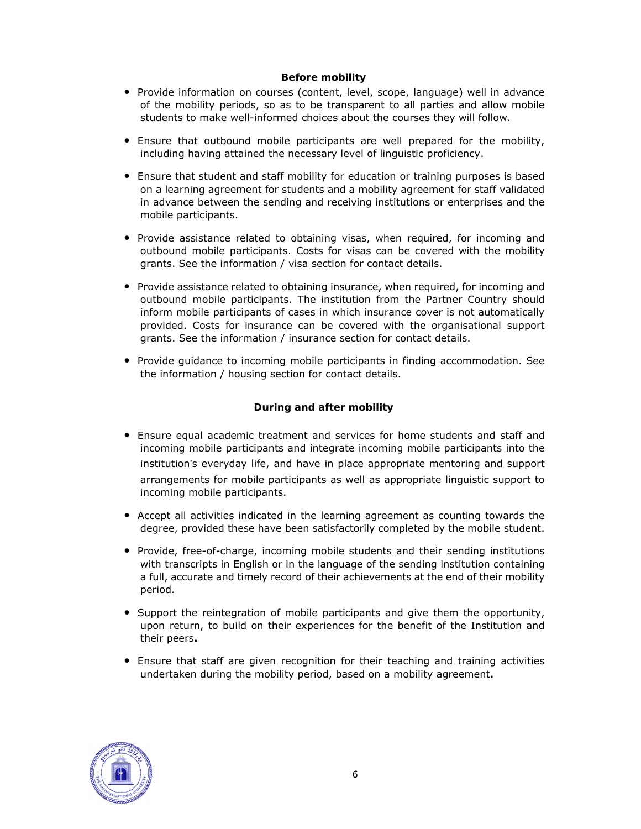### **Before mobility**

- Provide information on courses (content, level, scope, language) well in advance of the mobility periods, so as to be transparent to all parties and allow mobile students to make well-informed choices about the courses they will follow.
- Ensure that outbound mobile participants are well prepared for the mobility, including having attained the necessary level of linguistic proficiency.
- Ensure that student and staff mobility for education or training purposes is based on a learning agreement for students and a mobility agreement for staff validated in advance between the sending and receiving institutions or enterprises and the mobile participants.
- Provide assistance related to obtaining visas, when required, for incoming and outbound mobile participants. Costs for visas can be covered with the mobility grants. See the information / visa section for contact details.
- Provide assistance related to obtaining insurance, when required, for incoming and outbound mobile participants. The institution from the Partner Country should inform mobile participants of cases in which insurance cover is not automatically provided. Costs for insurance can be covered with the organisational support grants. See the information / insurance section for contact details.
- Provide guidance to incoming mobile participants in finding accommodation. See the information / housing section for contact details.

### **During and after mobility**

- Ensure equal academic treatment and services for home students and staff and incoming mobile participants and integrate incoming mobile participants into the institution's everyday life, and have in place appropriate mentoring and support arrangements for mobile participants as well as appropriate linguistic support to incoming mobile participants.
- Accept all activities indicated in the learning agreement as counting towards the degree, provided these have been satisfactorily completed by the mobile student.
- Provide, free-of-charge, incoming mobile students and their sending institutions with transcripts in English or in the language of the sending institution containing a full, accurate and timely record of their achievements at the end of their mobility period.
- Support the reintegration of mobile participants and give them the opportunity, upon return, to build on their experiences for the benefit of the Institution and their peers**.**
- Ensure that staff are given recognition for their teaching and training activities undertaken during the mobility period, based on a mobility agreement**.**

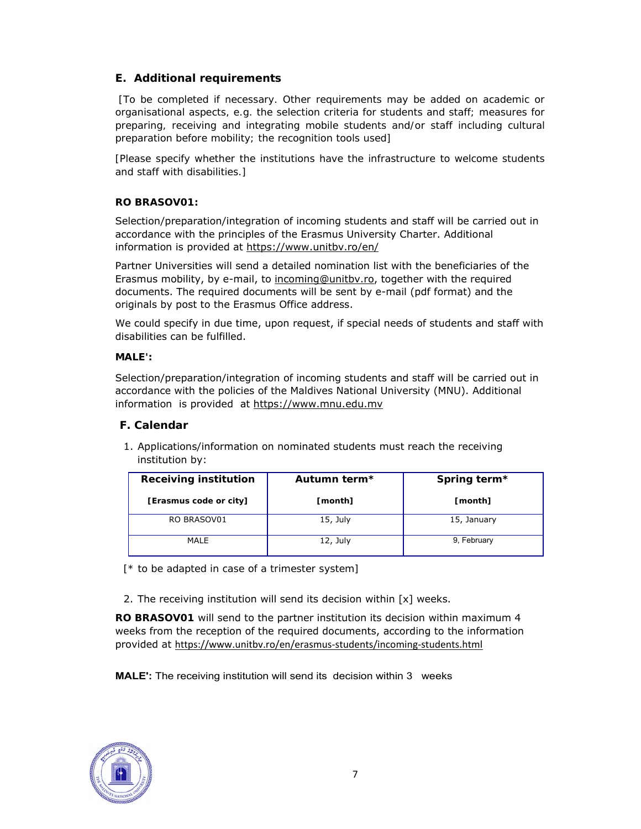## **E. Additional requirements**

 *[To be completed if necessary. Other requirements may be added on academic or organisational aspects, e.g. the selection criteria for students and staff; measures for*  preparing, receiving and integrating mobile students and/or staff including cultural *preparation before mobility; the recognition tools used]* 

*[Please specify whether the institutions have the infrastructure to welcome students and staff with disabilities.]* 

### **RO BRASOV01:**

Selection/preparation/integration of incoming students and staff will be carried out in accordance with the principles of the Erasmus University Charter. Additional information is provided at https://www.unitbv.ro/en/

Partner Universities will send a detailed nomination list with the beneficiaries of the Erasmus mobility, by e-mail, to incoming@unitbv.ro, together with the required documents. The required documents will be sent by e-mail (pdf format) and the originals by post to the Erasmus Office address.

We could specify in due time, upon request, if special needs of students and staff with disabilities can be fulfilled.

### **MALE':**

Selection/preparation/integration of incoming students and staff will be carried out in accordance with the policies of the Maldives National University (MNU). Additional information is provided at https://www.mnu.edu.mv

## **F. Calendar**

1. Applications/information on nominated students must reach the receiving institution by:

| <b>Receiving institution</b> | Autumn term <sup>*</sup> | Spring term <sup>*</sup> |
|------------------------------|--------------------------|--------------------------|
| [Erasmus code or city]       | [month]                  | [month]                  |
| RO BRASOV01                  | 15, July                 | 15, January              |
| MALE                         | 12, July                 | 9, February              |

*[\* to be adapted in case of a trimester system]* 

2. The receiving institution will send its decision within [x] weeks.

**RO BRASOV01** will send to the partner institution its decision within maximum 4 weeks from the reception of the required documents, according to the information provided at https://www.unitbv.ro/en/erasmus‐students/incoming‐students.html

**MALE':** The receiving institution will send its decision within 3 weeks

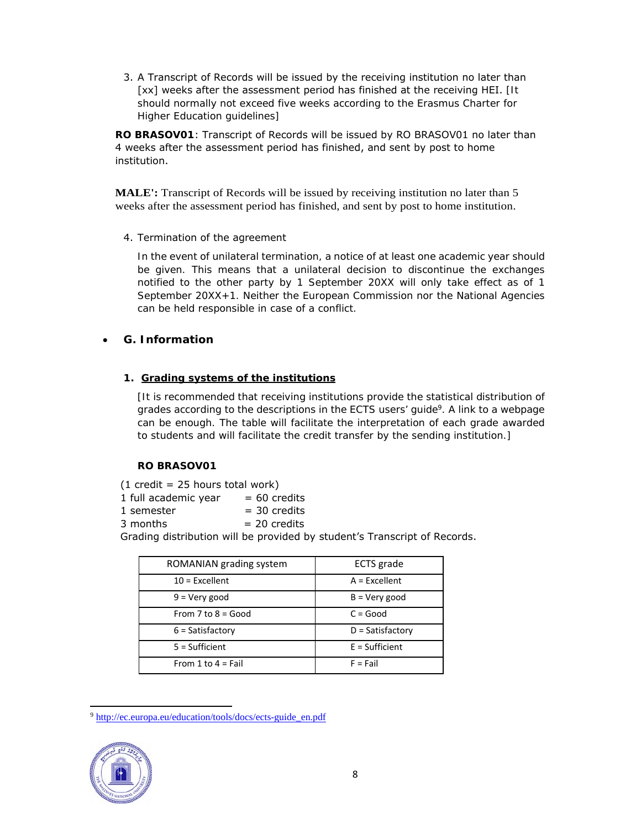3. A Transcript of Records will be issued by the receiving institution no later than [xx] weeks after the assessment period has finished at the receiving HEI. *[It should normally not exceed five weeks according to the Erasmus Charter for Higher Education guidelines]* 

**RO BRASOV01**: Transcript of Records will be issued by RO BRASOV01 no later than 4 weeks after the assessment period has finished, and sent by post to home institution.

**MALE':** Transcript of Records will be issued by receiving institution no later than 5 weeks after the assessment period has finished, and sent by post to home institution.

4. Termination of the agreement

*In the event of unilateral termination, a notice of at least one academic year should be given. This means that a unilateral decision to discontinue the exchanges notified to the other party by 1 September 20XX will only take effect as of 1 September 20XX+1. Neither the European Commission nor the National Agencies can be held responsible in case of a conflict.* 

# **G. Information**

# **1. Grading systems of the institutions**

*[It is recommended that receiving institutions provide the statistical distribution of grades according to the descriptions in the ECTS users' guide9. A link to a webpage can be enough. The table will facilitate the interpretation of each grade awarded to students and will facilitate the credit transfer by the sending institution.]* 

# **RO BRASOV01**

 $(1 \text{ credit} = 25 \text{ hours total work})$ 

| 1 full academic year | $= 60$ credits |
|----------------------|----------------|
| 1 semester           | $=$ 30 credits |

 $3$  months  $= 20$  credits

Grading distribution will be provided by student's Transcript of Records.

| ROMANIAN grading system | ECTS grade         |
|-------------------------|--------------------|
| $10$ = Excellent        | $A = Excellent$    |
| $9 = V$ ery good        | $B = Very good$    |
| From $7$ to $8 = Good$  | $C = Good$         |
| $6 =$ Satisfactory      | $D = Satisfactory$ |
| $5 = Sufficient$        | $E = Sufficient$   |
| From 1 to $4 =$ Fail    | $F = Fail$         |

<sup>9</sup> http://ec.europa.eu/education/tools/docs/ects-guide\_en.pdf

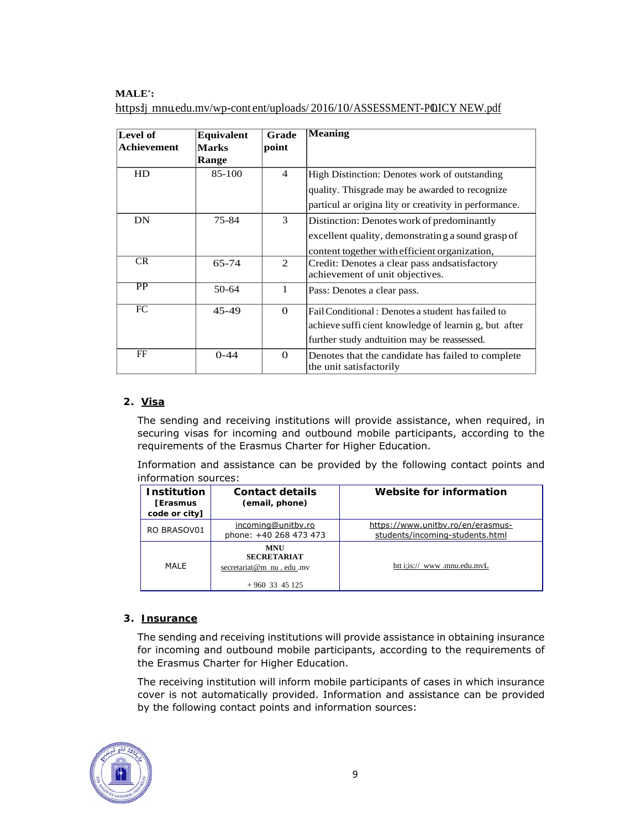### **MALE':**

| Level of<br><b>Achievement</b> | Equivalent<br><b>Marks</b><br><b>Range</b> | Grade<br>point | <b>Meaning</b>                                                                                                                                             |
|--------------------------------|--------------------------------------------|----------------|------------------------------------------------------------------------------------------------------------------------------------------------------------|
| HD                             | $85-100$                                   | 4              | High Distinction: Denotes work of outstanding<br>quality. This grade may be awarded to recognize<br>particul ar origina lity or creativity in performance. |
| DN                             | 75-84                                      | 3              | Distinction: Denotes work of predominantly<br>excellent quality, demonstrating a sound grasp of<br>content together with efficient organization,           |
| CR.                            | 65-74                                      | 2              | Credit: Denotes a clear pass and satisfactory<br>achievement of unit objectives.                                                                           |
| PP                             | 50-64                                      | 1              | Pass: Denotes a clear pass.                                                                                                                                |
| FC                             | 45-49                                      | $\Omega$       | Fail Conditional: Denotes a student has failed to<br>achieve sufficient knowledge of learning, but after<br>further study and tuition may be reassessed.   |
| FF                             | $0 - 44$                                   | $\Omega$       | Denotes that the candidate has failed to complete<br>the unit satisfactorily                                                                               |

https://imnu.edu.mv/wp-content/uploads/2016/10/ASSESSMENT-PQICY NEW.pdf

## **2. Visa**

The sending and receiving institutions will provide assistance, when required, in securing visas for incoming and outbound mobile participants, according to the requirements of the Erasmus Charter for Higher Education.

Information and assistance can be provided by the following contact points and information sources:

| <b>Institution</b><br><b>[Erasmus</b><br>code or city] | <b>Contact details</b><br>(email, phone)                                        | Website for information                                              |
|--------------------------------------------------------|---------------------------------------------------------------------------------|----------------------------------------------------------------------|
| <b>RO BRASOV01</b>                                     | incoming@unitby.ro<br>phone: +40 268 473 473                                    | https://www.unitbv.ro/en/erasmus-<br>students/incoming-students.html |
| MAI F                                                  | <b>MNU</b><br><b>SECRETARIAT</b><br>secretariat@m_nu.edu.mv<br>$+960$ 33 45 125 | htt i;is:// www.mnu.edu.mvL                                          |

# **3. Insurance**

The sending and receiving institutions will provide assistance in obtaining insurance for incoming and outbound mobile participants, according to the requirements of the Erasmus Charter for Higher Education.

The receiving institution will inform mobile participants of cases in which insurance cover is not automatically provided. Information and assistance can be provided by the following contact points and information sources:

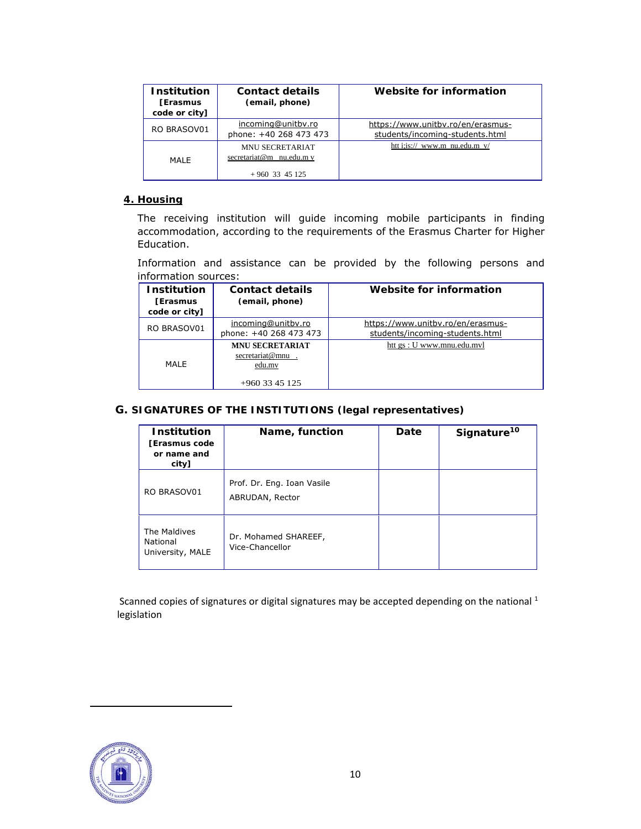| <b>Institution</b><br><b>[Erasmus</b><br>code or city] | <b>Contact details</b><br>(email, phone)                                 | Website for information                                              |
|--------------------------------------------------------|--------------------------------------------------------------------------|----------------------------------------------------------------------|
| RO BRASOV01                                            | incoming@unitby.ro<br>phone: +40 268 473 473                             | https://www.unitbv.ro/en/erasmus-<br>students/incoming-students.html |
| MAI F                                                  | <b>MNU SECRETARIAT</b><br>$secretariat@m$ nu.edu.m v<br>$+960$ 33 45 125 | htt i:is:// www.m nu.edu.m $v/$                                      |

#### **4. Housing**

The receiving institution will guide incoming mobile participants in finding accommodation, according to the requirements of the Erasmus Charter for Higher Education.

Information and assistance can be provided by the following persons and information sources:

| <b>Institution</b><br><b>[Erasmus</b><br>code or city] | <b>Contact details</b><br>(email, phone)                                 | Website for information                                              |
|--------------------------------------------------------|--------------------------------------------------------------------------|----------------------------------------------------------------------|
| RO BRASOV01                                            | incoming@unitbv.ro<br>phone: +40 268 473 473                             | https://www.unitbv.ro/en/erasmus-<br>students/incoming-students.html |
| <b>MAIF</b>                                            | <b>MNU SECRETARIAT</b><br>secretariat@mnu.<br>edu.mv<br>$+960$ 33 45 125 | htt gs: U www.mnu.edu.mvl                                            |

#### **G. SIGNATURES OF THE INSTITUTIONS (legal representatives)**

| <b>Institution</b><br><b>[Erasmus code</b><br>or name and<br>city] | Name, function                                | Date | Signature <sup>10</sup> |
|--------------------------------------------------------------------|-----------------------------------------------|------|-------------------------|
| RO BRASOV01                                                        | Prof. Dr. Eng. Ioan Vasile<br>ABRUDAN, Rector |      |                         |
| The Maldives<br>National<br>University, MALE                       | Dr. Mohamed SHAREEF,<br>Vice-Chancellor       |      |                         |

Scanned copies of signatures or digital signatures may be accepted depending on the national  $1$ legislation

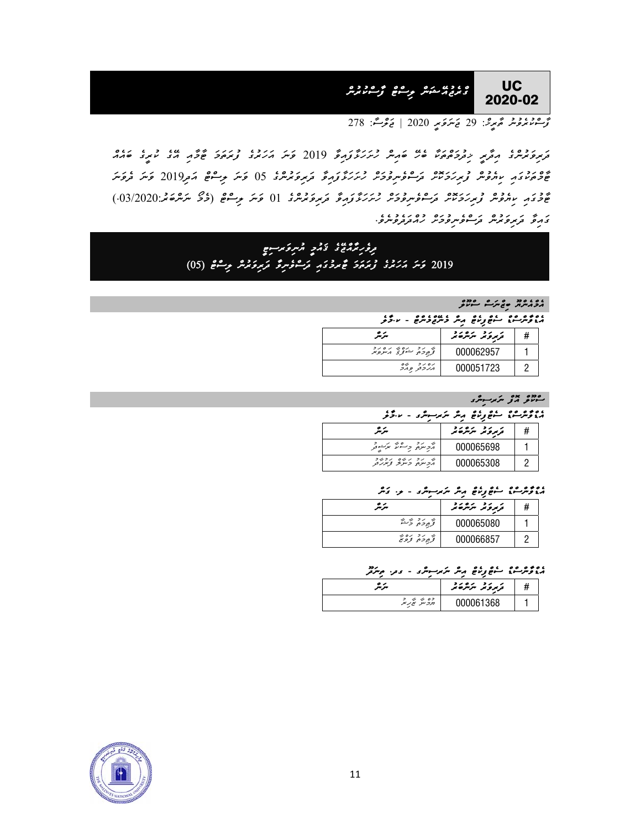

 $278$  رَّحْسُنُ مِنْ  $\frac{2}{3}$  وَسَرَعَ ۖ 2020 | حَرْثَتَ: 278

<u></u>ﻣُﺮﻣِﺩﺣﻮ ﺩ ﻣﻴﺮﻣِ ﺩﺩﻩ ﺩﺀ ﻋﻴﻢ ﺩﺭﺭﮐَّ ﺗُﺮﻣِّ ﻭﺍﻟ2 ﻣُﺮَ ﺩﺭﺩﻩ ﺩﺭﺭﺩ ﺩﺩ ﺩﺩ ﺩ ﺩﻩ ﺩﻭ ﺩ ﺩﻩ ﺩﺩﻩ ﻣﻠﺪﺩ ﻫﺪﺍ ޓާމްތަކުގައި ކިޔެވުން ފުރިހަމަކޮށް ދަސްވެނިވުމަށް ހުށަހަޅާފައިވާ ދަރިވަރުންގެ 05 ވަނަ ލިސްޓް އަދ2019ި ވަނަ ދެވަނަ څونۍ په دوهر وېرترکټو رغوړوکړو کېرتروکړو کرېږولومړنو 10 کوټر پوسفو (څو ټرنگرګړ.03/2020) ގައިވާ ދަރިވަރުން ދަސްވެނިވުމަށް ހުއްދަދެވުނެވ.ެ

# ދިވެހިރާއްޖޭގެ ޤައުމީ ޔުނިވަރސި ޓީ 2019 وَمَرَ مَرَمَزَۃٌ وَمَرَحَدٌ غَمَدَدَوَ مَرَسَّوْمِرِوْ مَرِوَمَدَدْ وِسَنَّعْ (05)

#### އެމްއެންޔޫ ބިޒްނަސް ސްކޫ ލް

| مورمية شورنوم مار ديروره - المحر |  |  |
|----------------------------------|--|--|
|                                  |  |  |

ے مشروع مرکز میں استری

مؤثر دیویوں کے اس کے اس کے اس کے اس کے اس کے اس کے اس کے اس کے اس کے اس کے اس کے اس کے اس کے اس کے اس کے اس کے

| ىترىتر                                                  | ترىرى ئىر سرشرى ئىر | # |
|---------------------------------------------------------|---------------------|---|
| أأرجو المراكز والمحر للمراكب وتحر                       | 000065698           |   |
| וז גב גוזים גבוזיב<br>הפינתם כינגוד <sub>צ</sub> ינגודק | 000065308           |   |

## އެޑްވާންސްޑް ސެޓްފިކެޓް އިން ނަރސިންގ - ލ. ގަ ން

| ىترىتر                      | ترىرى ئە ئىر ئىركى ئىر | # |
|-----------------------------|------------------------|---|
| تؤوده وحميثة                | 000065080              |   |
| ر د ده ده د<br>ترجوده ترویخ | 000066857              |   |

### ﻣﻮﻣﻮﻣﻮ ﻣﻮ ﻋﻮ ﺭﮐﻮ ﻣﺮﻣﺮ ﻣﺮﻣﺮ ﻣﺮﻣﺮ ﻣﺮﻣﺮ ﻣﺮﻣﺮﻣﺮ

| . .<br>سرسر               | ترىرى ئىر ئىر ئىر |  |
|---------------------------|-------------------|--|
| コ シ シ ロコ<br>חכייק יציג זק |                   |  |

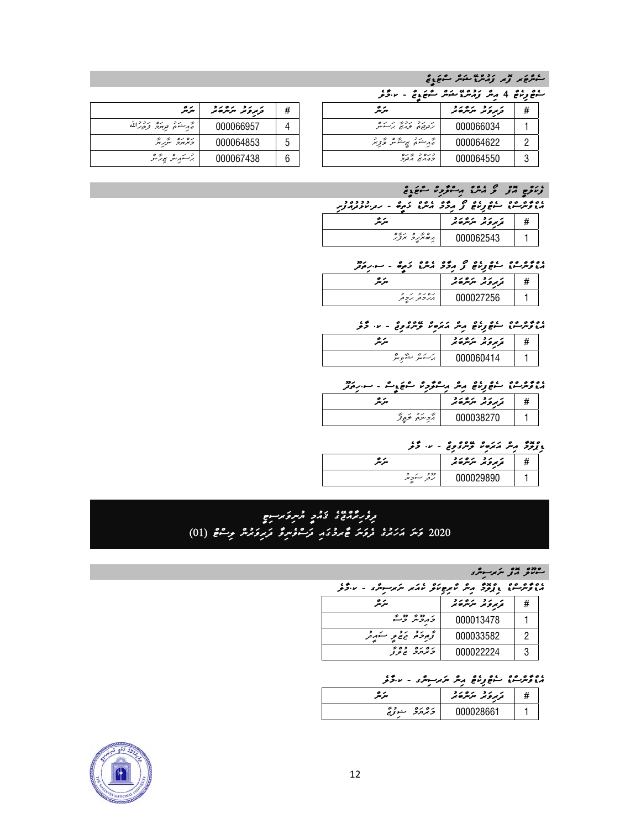# ِ شَرْحَ ِ ۖ رَبِّ ۖ وَرُمْرٌ ۖ شَرَعَ ۖ وَ عَلَيْهِ

ِ شُوْرِنُمْ 4 مِنْ رَرْنْدُ مِنْدُ شُوَءُ - ﴿ ذَرْ

| سرتر                    | ترىرى ئىر ئىر ئىر | # |
|-------------------------|-------------------|---|
| كربر منهم برود وكهرالله | 000066957         |   |
| במחכ שקנה               | 000064853         | 5 |
| برڪرمر عبر سڪر          | 000067438         | հ |

| ىئەتر                    | ترىرى تىر ئىرىگى ئىر | # | سرتر |                                    | ترىرى تىر ئىرىگى ئىر | # |
|--------------------------|----------------------|---|------|------------------------------------|----------------------|---|
| گەر مەدە بەرە بەدە بالله | 000066957            |   |      | ر دو دوره بر ده<br>زېږينې برگستنگر | 000066034            |   |
| シーション・ロン<br>כמחכ יינגח   | 000064853            | ь |      | أأرستكم بإسترس وأوبر               | 000064622            |   |
| بر سکور ملک ہے تر شر     | 000067438            | 6 |      | ロンジ コロンコ<br>כנגוש גבקכ             | 000064550            |   |

### ِ وَرَحَٰٓوۡ ِ مِٓٓوۡرُ ۚ مِسۡوَدۡدِہٗ سَمَوَہِ ۖ وَ

| مەم ئەرەبە يەم بۇ بۇ ئۇ ئۇي ئۇي - رىز بولۇپرى |                              |  |
|-----------------------------------------------|------------------------------|--|
|                                               | ,,,, ,, ,<br>تربروبر سرسرصتر |  |
| $0 \nless 1$ $0 \nless 0$<br>ノミメ フノメめハ        | <b>MMM62543</b>              |  |

# އެޑްވާންސްޑް ސެޓްފިކެޓް ފޯ އިމާމް އެންޑް ޚަތީބް - ސ.ހިތަ ދޫ

# އެޑްވާންސްޑް ސެޓްފިކެޓް އިން އަރަބިކް ލޭންގްވިޖް - ކ. މާ ލެ

| . .<br>سرسر | ترىرى ئە سەئىرى ئىر |  |
|-------------|---------------------|--|
| ູ້          | رىسە ئە<br>nnrn4    |  |

# دودوروو دورورو پر رشتوره دوند - سنزور

| ترىرى ئە ئىركى ئىر<br>. ه<br>سرسر |  |
|-----------------------------------|--|
| ション・ジ<br>برد سره بروی و           |  |

# ޑިޕްލޮމާ އިން އަރަބިކް ލޭންގްވިޖް - ކ. މާ ލެ

| . .<br>سرسر              | ترىرى ئە سەئىرى ئىر |  |
|--------------------------|---------------------|--|
| 2 / 222<br>الرقوا ستولجر | uxur                |  |

# ދިވެހިރާއްޖޭގެ ޤައުމީ ޔުނިވަރސި ޓީ 2020 ވަނަ އަހަރުގެ ދެވަނަ ޓާރމުގައި ދަސްވެނިވާ ދަރިވަރުން ލިސްޓް (01 )

# دورو در مربر مربور در این مربور استان کرد.<br>مسائلاتی مربور مربور مربور استان کرد.

#### دودوروه ودو پر ویرونو اور مرکز اور ۱۰ مارو

|  | سرتر                         | قرىرۇنمر ئىر ئىرى | $^{\#}$ |
|--|------------------------------|-------------------|---------|
|  | دردهر دقت                    | 000013478         |         |
|  | كرودة والمحافج والتسكر فمراض | 000033582         |         |
|  | ده ده ده و                   | 000022224         | ບ       |

# مؤورده دیم کامی استرالای از استرالای از استرالای استرالای استرالای استرالای استرالای استرالای استرالای استرالا

| سرسر               | مرمرو مرمر مذمر |  |
|--------------------|-----------------|--|
| ב זקרב<br>ره د و م |                 |  |

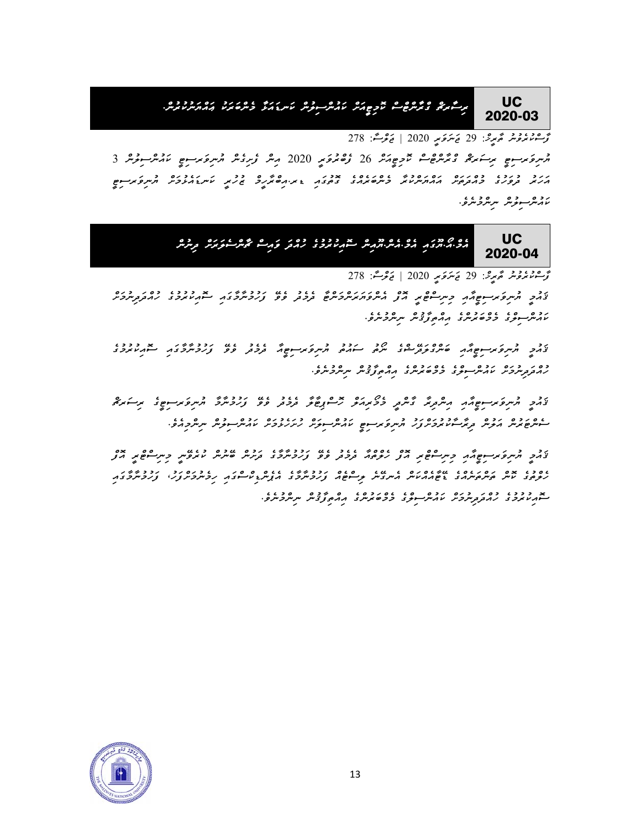

رَّحْسُورُ مِعْهُمِرِيْ: 29 يَهْرَمَبِي 2020 | يَرْحَمُّ: 278

رسرىَ سِروَسِ سِرَيْرِ وْجُرْمَوْهِ • مَرْحِمِيْرْ 26 رُوْمُروَسِ 2020 رسْر رُبِرِدْشْ رُسِرِوَسِرِ عَارَشْرِ و ת הכ בנבג בסננס נסנסכל גוסנסג ביניונסלים בב המונדד היות המבורד המונדד המונדד המונדד המונדד המונדד המונדד המונד<br>הניו בפנג בהבנסיק ההחייקיות בייקוסיג ביניוני ביניונסיקיק ביניון מינדבריק ומיקוד הו ކައުންސިލުން ނިންމުނެވ.ެ



 $278$ : رُسُونِدُ مُحْمِرَةَ: 29 جَسَرَوَ 2020 | جَوْسُةَ: 278

ޤައުމީ ޔުނިވަރސިޓީއާއި މިނިސްޓްރީ އޮފް އެންވަޔަރަންމަންޓާ ދެމެދު ވެވޭ ފަހުމުނާމާގައި ސޮއިކުރުމުގެ ހުއްދަދިނުމަށް ކައުންސިލްގެ މެމްބަރުންގެ އިއްތިފާޤުން ނިންމުނެވ.ެ

ޤައުމީ ޔުނިވަރސިޓީއާއި ބަންގްލަދޭޝްގެ ނޯތު ސައުތު ޔުނިވަރސިޓީއާ ދެމެދު ވެވޭ ފަހުމުނާމާގައި ސޮއިކުރުމުގެ ހުއްދަދިނުމަށް ކައުންސިލްގެ މެމްބަރުންގެ އިއްތިފާޤުން ނިންމުނެވ.ެ

دد دسرکوسوچگر مسرورکرد کسرو در دور دور در در دوره در مرکز مسرک ے סגבם גבם גובר גם גברים גבולי גם גבודו הבסגבות המקום בסינים בקרים.<br>התייש אניית ומקיית וקמארייט ובקרית באין יותר של ממיני יותר בקרים ממיני יותר הקיית וקיית באין.

ޤައުމީ ޔުނިވަރސިޓީއާއި މިނިސްޓްރި އޮފް ހެލްތްއާ ދެމެދު ވެވޭ ފަހުމުނާމާގެ ދަށުން ބޭނުން ކުރެވޭނީ މިނިސްޓްރީ އޮފް ހެލްތުގެ ކޮން ތަންތަނެއްގެ ޑޭޓާއެއްކަން އެނގޭނެ ލިސްޓެއް ފަހުމުނާމާގެ އެޕެންޑިކްސްގައި ހިމެނުމަށްފަހ،ު ފަހުމުނާމާގައި צ כככז כסי כים יכם ספים באיתוב ומסוכל ים יכולי ביות.<br>המיטומרים ממתקניותרית ממינו וארייקיות בריסומיותים וממסובליות ויקוותריות

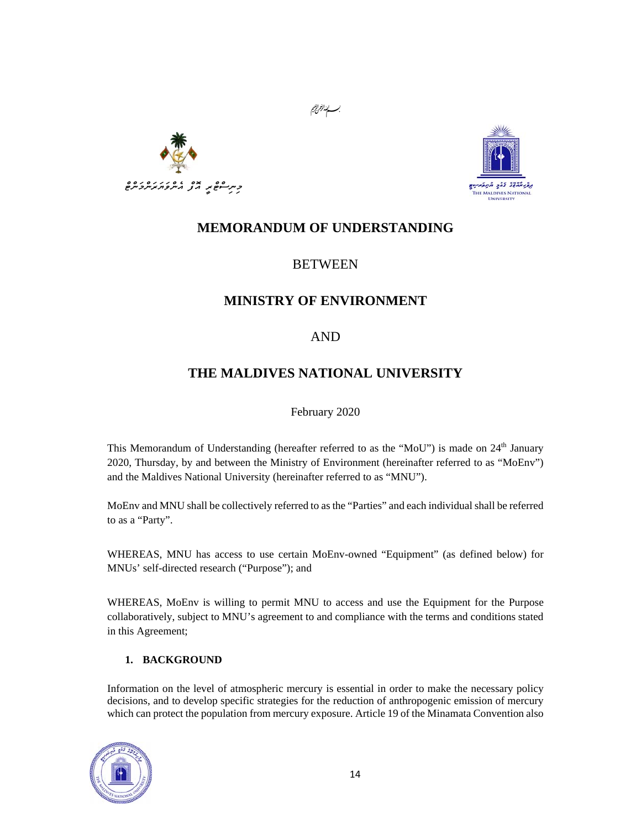



# **MEMORANDUM OF UNDERSTANDING**

بسسا الرغرانجيم

# **BETWEEN**

# **MINISTRY OF ENVIRONMENT**

# AND

# **THE MALDIVES NATIONAL UNIVERSITY**

## February 2020

This Memorandum of Understanding (hereafter referred to as the "MoU") is made on 24<sup>th</sup> January 2020, Thursday, by and between the Ministry of Environment (hereinafter referred to as "MoEnv") and the Maldives National University (hereinafter referred to as "MNU").

MoEnv and MNU shall be collectively referred to as the "Parties" and each individual shall be referred to as a "Party".

WHEREAS, MNU has access to use certain MoEnv-owned "Equipment" (as defined below) for MNUs' self-directed research ("Purpose"); and

WHEREAS, MoEnv is willing to permit MNU to access and use the Equipment for the Purpose collaboratively, subject to MNU's agreement to and compliance with the terms and conditions stated in this Agreement;

### **1. BACKGROUND**

Information on the level of atmospheric mercury is essential in order to make the necessary policy decisions, and to develop specific strategies for the reduction of anthropogenic emission of mercury which can protect the population from mercury exposure. Article 19 of the Minamata Convention also

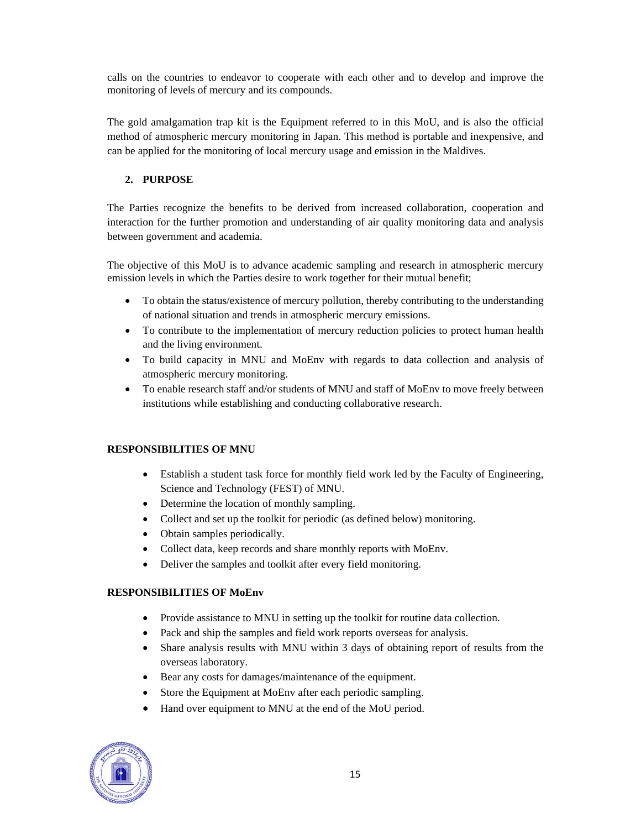calls on the countries to endeavor to cooperate with each other and to develop and improve the monitoring of levels of mercury and its compounds.

The gold amalgamation trap kit is the Equipment referred to in this MoU, and is also the official method of atmospheric mercury monitoring in Japan. This method is portable and inexpensive, and can be applied for the monitoring of local mercury usage and emission in the Maldives.

## **2. PURPOSE**

The Parties recognize the benefits to be derived from increased collaboration, cooperation and interaction for the further promotion and understanding of air quality monitoring data and analysis between government and academia.

The objective of this MoU is to advance academic sampling and research in atmospheric mercury emission levels in which the Parties desire to work together for their mutual benefit;

- To obtain the status/existence of mercury pollution, thereby contributing to the understanding of national situation and trends in atmospheric mercury emissions.
- To contribute to the implementation of mercury reduction policies to protect human health and the living environment.
- To build capacity in MNU and MoEnv with regards to data collection and analysis of atmospheric mercury monitoring.
- To enable research staff and/or students of MNU and staff of MoEnv to move freely between institutions while establishing and conducting collaborative research.

## **RESPONSIBILITIES OF MNU**

- Establish a student task force for monthly field work led by the Faculty of Engineering, Science and Technology (FEST) of MNU.
- Determine the location of monthly sampling.
- Collect and set up the toolkit for periodic (as defined below) monitoring.
- Obtain samples periodically.
- Collect data, keep records and share monthly reports with MoEnv.
- Deliver the samples and toolkit after every field monitoring.

### **RESPONSIBILITIES OF MoEnv**

- Provide assistance to MNU in setting up the toolkit for routine data collection.
- Pack and ship the samples and field work reports overseas for analysis.
- Share analysis results with MNU within 3 days of obtaining report of results from the overseas laboratory.
- Bear any costs for damages/maintenance of the equipment.
- Store the Equipment at MoEnv after each periodic sampling.
- Hand over equipment to MNU at the end of the MoU period.

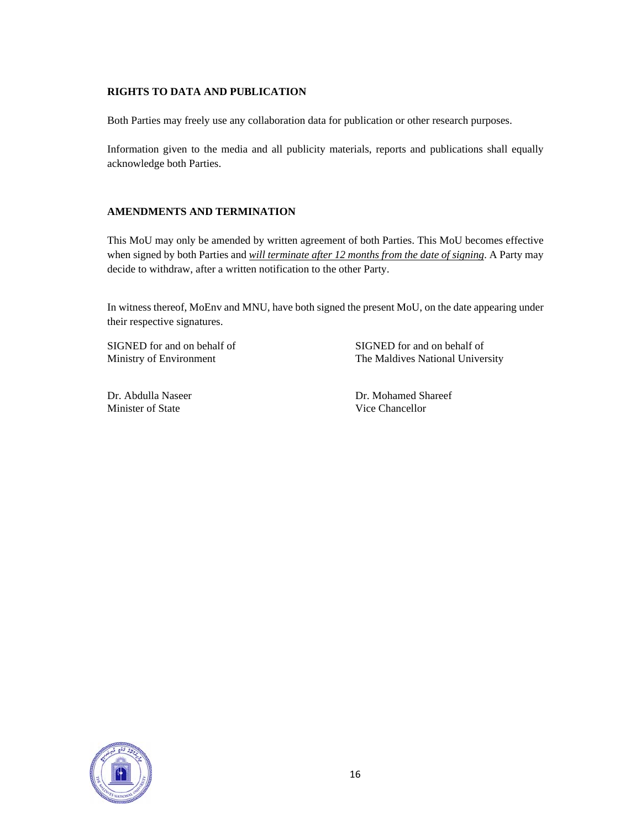### **RIGHTS TO DATA AND PUBLICATION**

Both Parties may freely use any collaboration data for publication or other research purposes.

Information given to the media and all publicity materials, reports and publications shall equally acknowledge both Parties.

#### **AMENDMENTS AND TERMINATION**

This MoU may only be amended by written agreement of both Parties. This MoU becomes effective when signed by both Parties and *will terminate after 12 months from the date of signing*. A Party may decide to withdraw, after a written notification to the other Party.

In witness thereof, MoEnv and MNU, have both signed the present MoU, on the date appearing under their respective signatures.

Minister of State Vice Chancellor

SIGNED for and on behalf of SIGNED for and on behalf of Ministry of Environment The Maldives National University

Dr. Abdulla Naseer Dr. Mohamed Shareef

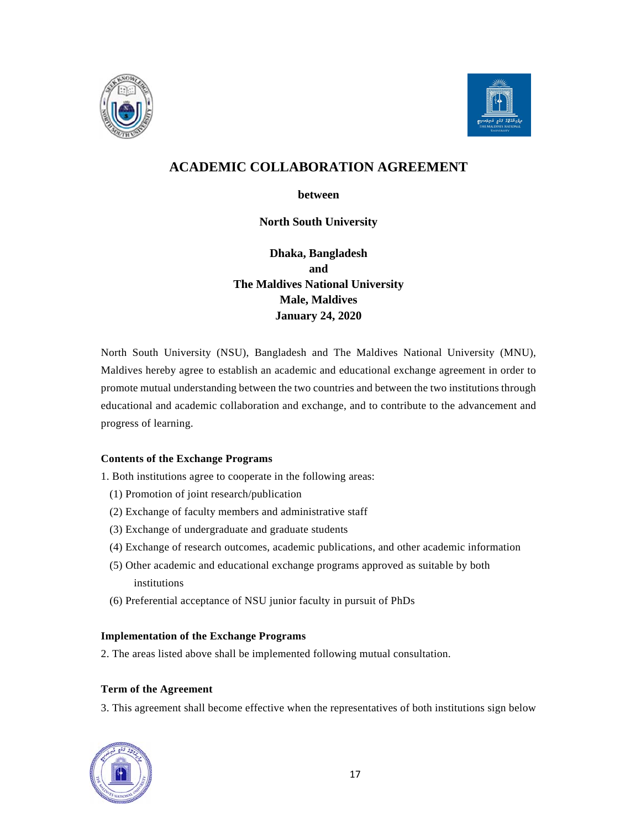



# **ACADEMIC COLLABORATION AGREEMENT**

### **between**

**North South University** 

**Dhaka, Bangladesh and The Maldives National University Male, Maldives January 24, 2020** 

North South University (NSU), Bangladesh and The Maldives National University (MNU), Maldives hereby agree to establish an academic and educational exchange agreement in order to promote mutual understanding between the two countries and between the two institutions through educational and academic collaboration and exchange, and to contribute to the advancement and progress of learning.

### **Contents of the Exchange Programs**

1. Both institutions agree to cooperate in the following areas:

- (1) Promotion of joint research/publication
- (2) Exchange of faculty members and administrative staff
- (3) Exchange of undergraduate and graduate students
- (4) Exchange of research outcomes, academic publications, and other academic information
- (5) Other academic and educational exchange programs approved as suitable by both institutions
- (6) Preferential acceptance of NSU junior faculty in pursuit of PhDs

### **Implementation of the Exchange Programs**

2. The areas listed above shall be implemented following mutual consultation.

### **Term of the Agreement**

3. This agreement shall become effective when the representatives of both institutions sign below

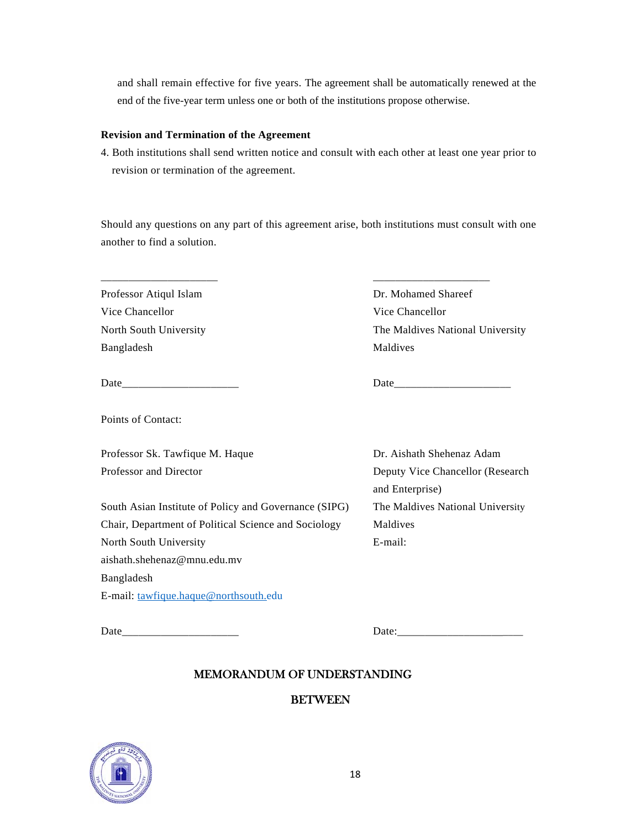and shall remain effective for five years. The agreement shall be automatically renewed at the end of the five-year term unless one or both of the institutions propose otherwise.

### **Revision and Termination of the Agreement**

4. Both institutions shall send written notice and consult with each other at least one year prior to revision or termination of the agreement.

Should any questions on any part of this agreement arise, both institutions must consult with one another to find a solution.

\_\_\_\_\_\_\_\_\_\_\_\_\_\_\_\_\_\_\_\_\_ \_\_\_\_\_\_\_\_\_\_\_\_\_\_\_\_\_\_\_\_\_

Professor Atiqul Islam Dr. Mohamed Shareef Vice Chancellor Vice Chancellor Bangladesh Maldives

Date **Date** 

Points of Contact:

Professor Sk. Tawfique M. Haque Dr. Aishath Shehenaz Adam

South Asian Institute of Policy and Governance (SIPG) The Maldives National University Chair, Department of Political Science and Sociology Maldives North South University E-mail: aishath.shehenaz@mnu.edu.mv Bangladesh E-mail: tawfique.haque@northsouth.edu

North South University The Maldives National University

Professor and Director Deputy Vice Chancellor (Research and Enterprise)

Date\_\_\_\_\_\_\_\_\_\_\_\_\_\_\_\_\_\_\_\_\_ Date:\_\_\_\_\_\_\_\_\_\_\_\_\_\_\_\_\_\_\_\_\_\_\_

# MEMORANDUM OF UNDERSTANDING

# **BETWEEN**

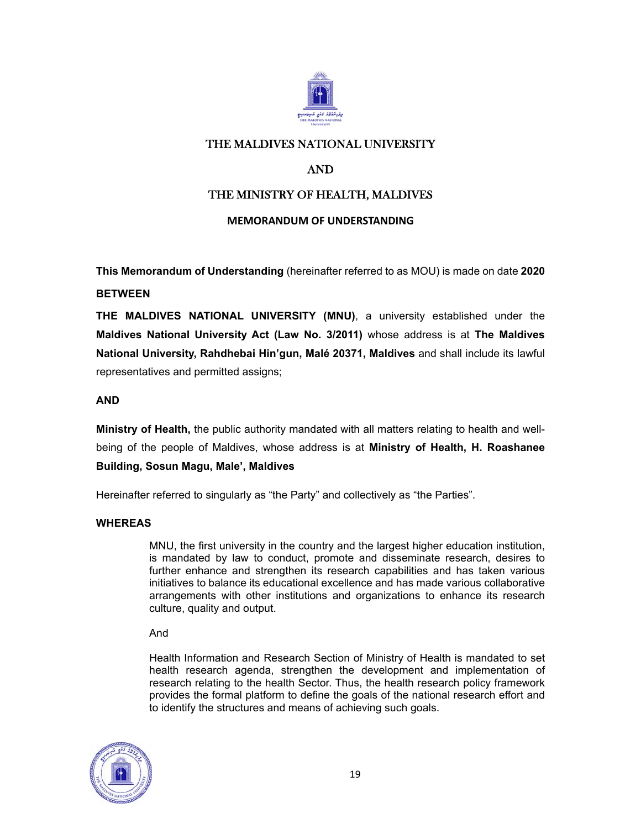

# THE MALDIVES NATIONAL UNIVERSITY

# AND

# THE MINISTRY OF HEALTH, MALDIVES

# **MEMORANDUM OF UNDERSTANDING**

**This Memorandum of Understanding** (hereinafter referred to as MOU) is made on date **2020**

## **BETWEEN**

**THE MALDIVES NATIONAL UNIVERSITY (MNU)**, a university established under the **Maldives National University Act (Law No. 3/2011)** whose address is at **The Maldives National University, Rahdhebai Hin'gun, Malé 20371, Maldives** and shall include its lawful representatives and permitted assigns;

## **AND**

**Ministry of Health,** the public authority mandated with all matters relating to health and wellbeing of the people of Maldives, whose address is at **Ministry of Health, H. Roashanee Building, Sosun Magu, Male', Maldives**

Hereinafter referred to singularly as "the Party" and collectively as "the Parties".

## **WHEREAS**

MNU, the first university in the country and the largest higher education institution, is mandated by law to conduct, promote and disseminate research, desires to further enhance and strengthen its research capabilities and has taken various initiatives to balance its educational excellence and has made various collaborative arrangements with other institutions and organizations to enhance its research culture, quality and output.

### And

Health Information and Research Section of Ministry of Health is mandated to set health research agenda, strengthen the development and implementation of research relating to the health Sector. Thus, the health research policy framework provides the formal platform to define the goals of the national research effort and to identify the structures and means of achieving such goals.

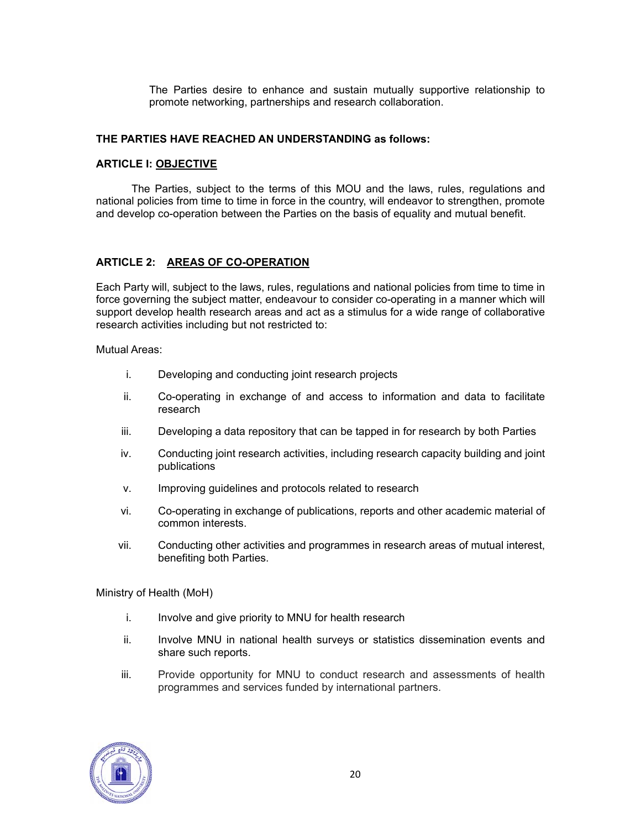The Parties desire to enhance and sustain mutually supportive relationship to promote networking, partnerships and research collaboration.

### **THE PARTIES HAVE REACHED AN UNDERSTANDING as follows:**

### **ARTICLE I: OBJECTIVE**

The Parties, subject to the terms of this MOU and the laws, rules, regulations and national policies from time to time in force in the country, will endeavor to strengthen, promote and develop co-operation between the Parties on the basis of equality and mutual benefit.

## **ARTICLE 2: AREAS OF CO-OPERATION**

Each Party will, subject to the laws, rules, regulations and national policies from time to time in force governing the subject matter, endeavour to consider co-operating in a manner which will support develop health research areas and act as a stimulus for a wide range of collaborative research activities including but not restricted to:

Mutual Areas:

- i. Developing and conducting joint research projects
- ii. Co-operating in exchange of and access to information and data to facilitate research
- iii. Developing a data repository that can be tapped in for research by both Parties
- iv. Conducting joint research activities, including research capacity building and joint publications
- v. Improving guidelines and protocols related to research
- vi. Co-operating in exchange of publications, reports and other academic material of common interests.
- vii. Conducting other activities and programmes in research areas of mutual interest, benefiting both Parties.

Ministry of Health (MoH)

- i. Involve and give priority to MNU for health research
- ii. Involve MNU in national health surveys or statistics dissemination events and share such reports.
- iii. Provide opportunity for MNU to conduct research and assessments of health programmes and services funded by international partners.

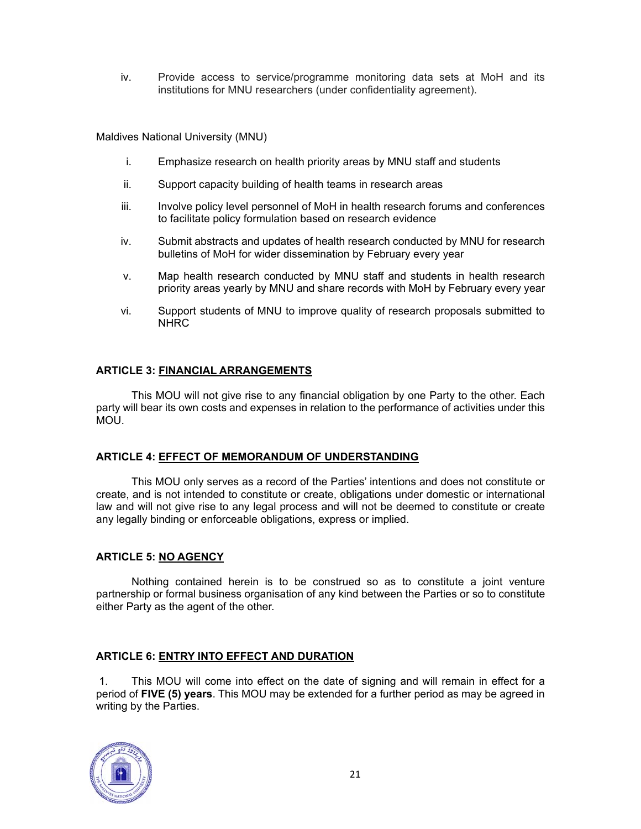iv. Provide access to service/programme monitoring data sets at MoH and its institutions for MNU researchers (under confidentiality agreement).

### Maldives National University (MNU)

- i. Emphasize research on health priority areas by MNU staff and students
- ii. Support capacity building of health teams in research areas
- iii. Involve policy level personnel of MoH in health research forums and conferences to facilitate policy formulation based on research evidence
- iv. Submit abstracts and updates of health research conducted by MNU for research bulletins of MoH for wider dissemination by February every year
- v. Map health research conducted by MNU staff and students in health research priority areas yearly by MNU and share records with MoH by February every year
- vi. Support students of MNU to improve quality of research proposals submitted to NHRC

## **ARTICLE 3: FINANCIAL ARRANGEMENTS**

This MOU will not give rise to any financial obligation by one Party to the other. Each party will bear its own costs and expenses in relation to the performance of activities under this MOU.

### **ARTICLE 4: EFFECT OF MEMORANDUM OF UNDERSTANDING**

This MOU only serves as a record of the Parties' intentions and does not constitute or create, and is not intended to constitute or create, obligations under domestic or international law and will not give rise to any legal process and will not be deemed to constitute or create any legally binding or enforceable obligations, express or implied.

### **ARTICLE 5: NO AGENCY**

Nothing contained herein is to be construed so as to constitute a joint venture partnership or formal business organisation of any kind between the Parties or so to constitute either Party as the agent of the other.

### **ARTICLE 6: ENTRY INTO EFFECT AND DURATION**

1. This MOU will come into effect on the date of signing and will remain in effect for a period of **FIVE (5) years**. This MOU may be extended for a further period as may be agreed in writing by the Parties.

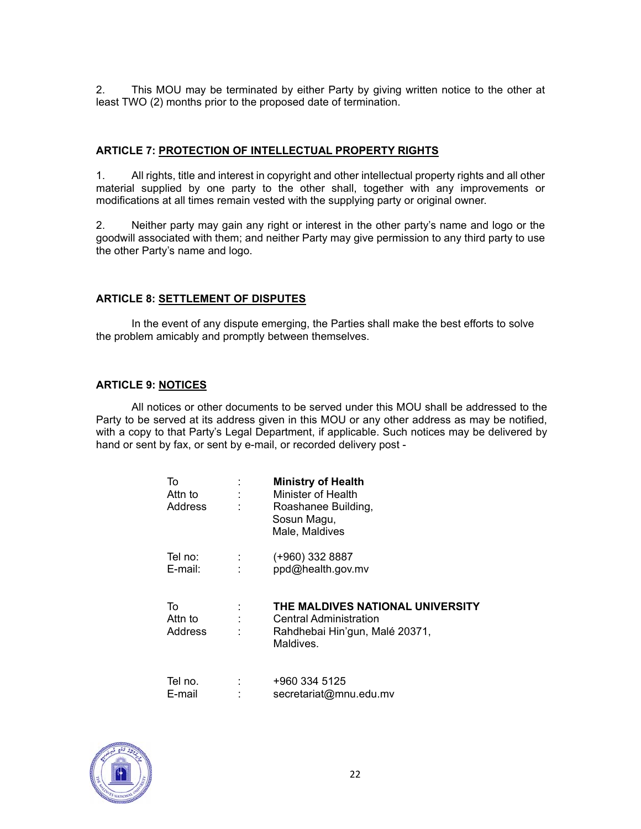2. This MOU may be terminated by either Party by giving written notice to the other at least TWO (2) months prior to the proposed date of termination.

### **ARTICLE 7: PROTECTION OF INTELLECTUAL PROPERTY RIGHTS**

1. All rights, title and interest in copyright and other intellectual property rights and all other material supplied by one party to the other shall, together with any improvements or modifications at all times remain vested with the supplying party or original owner.

2. Neither party may gain any right or interest in the other party's name and logo or the goodwill associated with them; and neither Party may give permission to any third party to use the other Party's name and logo.

### **ARTICLE 8: SETTLEMENT OF DISPUTES**

In the event of any dispute emerging, the Parties shall make the best efforts to solve the problem amicably and promptly between themselves.

### **ARTICLE 9: NOTICES**

All notices or other documents to be served under this MOU shall be addressed to the Party to be served at its address given in this MOU or any other address as may be notified, with a copy to that Party's Legal Department, if applicable. Such notices may be delivered by hand or sent by fax, or sent by e-mail, or recorded delivery post -

| To<br>Attn to<br>Address        | <b>Ministry of Health</b><br>Minister of Health<br>Roashanee Building,<br>Sosun Magu,<br>Male, Maldives   |
|---------------------------------|-----------------------------------------------------------------------------------------------------------|
| Tel no:<br>E-mail:              | (+960) 332 8887<br>ppd@health.gov.mv                                                                      |
| To<br>Attn to<br><b>Address</b> | THE MALDIVES NATIONAL UNIVERSITY<br>Central Administration<br>Rahdhebai Hin'gun, Malé 20371,<br>Maldives. |
| Tel no.<br>E-mail               | +960 334 5125<br>secretariat@mnu.edu.mv                                                                   |

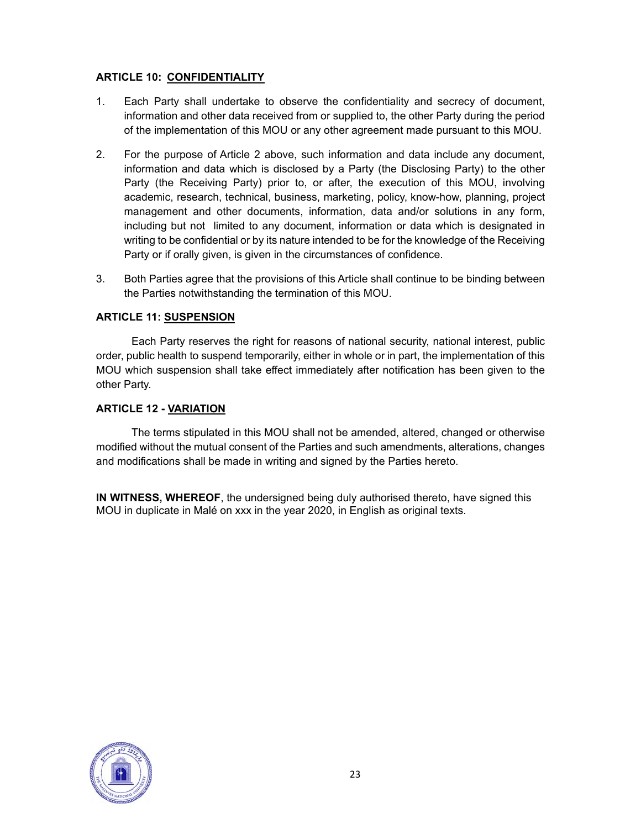# **ARTICLE 10: CONFIDENTIALITY**

- 1. Each Party shall undertake to observe the confidentiality and secrecy of document, information and other data received from or supplied to, the other Party during the period of the implementation of this MOU or any other agreement made pursuant to this MOU.
- 2. For the purpose of Article 2 above, such information and data include any document, information and data which is disclosed by a Party (the Disclosing Party) to the other Party (the Receiving Party) prior to, or after, the execution of this MOU, involving academic, research, technical, business, marketing, policy, know-how, planning, project management and other documents, information, data and/or solutions in any form, including but not limited to any document, information or data which is designated in writing to be confidential or by its nature intended to be for the knowledge of the Receiving Party or if orally given, is given in the circumstances of confidence.
- 3. Both Parties agree that the provisions of this Article shall continue to be binding between the Parties notwithstanding the termination of this MOU.

## **ARTICLE 11: SUSPENSION**

Each Party reserves the right for reasons of national security, national interest, public order, public health to suspend temporarily, either in whole or in part, the implementation of this MOU which suspension shall take effect immediately after notification has been given to the other Party.

### **ARTICLE 12 - VARIATION**

The terms stipulated in this MOU shall not be amended, altered, changed or otherwise modified without the mutual consent of the Parties and such amendments, alterations, changes and modifications shall be made in writing and signed by the Parties hereto.

**IN WITNESS, WHEREOF**, the undersigned being duly authorised thereto, have signed this MOU in duplicate in Malé on xxx in the year 2020, in English as original texts.

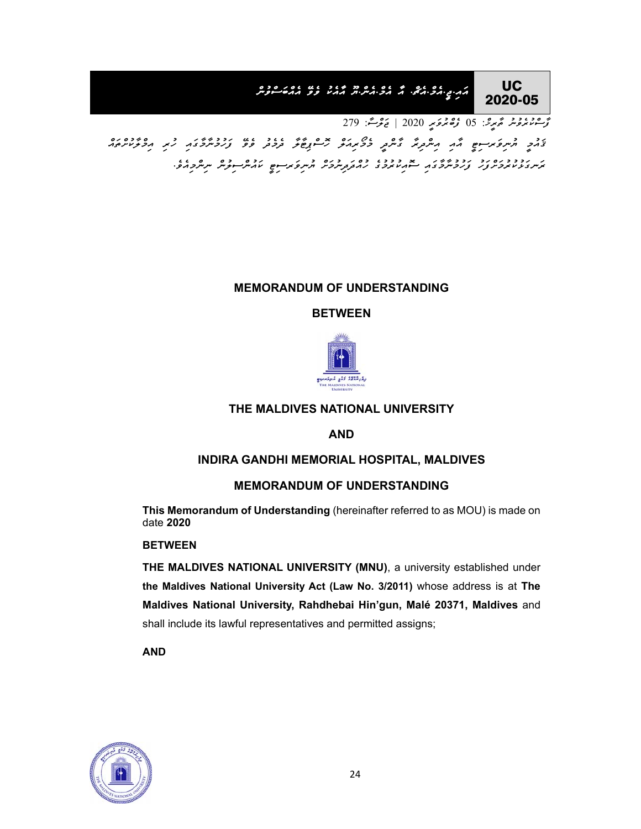# UC<br>2020-05 އަ އި . ޖީ .އެ މް .އެ <sup>ޗ</sup>.ް އާ އެ މް .އެ ން . ޔޫ އާއެ ކު ވެ ވޭ އެއްބަސްވު ން 2020-05

ر<br>رَّحْمَدْمُ مُرْمَدٌ مَّهْرِمٌ: 05 رُحْمَدَ وَبِرِ 2020 | نَحْرُ مَّ: 279

יכתק הייקפֿ אישי האיך הייקפֿל גישות בפיקוד הייקוד הייקוד בייקוד הייקוד הייקוד הייקוד הייקוד הייקוד הייקוד הייק<br>באתק הייקפֿ אישי איך הייקוד הייקוד בפיקוד הייקוד הייקוד הייקוד הייקוד הייקוד הייקוד הייקוד הייקוד הייקוד היי ރަނގަޅުކުރުމަށްފަހު ފަހުމު ާނމާގައި ސޮއިކުރުމުގެ ހުއްދަދިނުމަށް ޔުނިވަރސިޓީ ކައުންސިލުން ނިންމިއެވ.ެ

# **MEMORANDUM OF UNDERSTANDING**

**BETWEEN**



# **THE MALDIVES NATIONAL UNIVERSITY**

**AND**

## **INDIRA GANDHI MEMORIAL HOSPITAL, MALDIVES**

### **MEMORANDUM OF UNDERSTANDING**

**This Memorandum of Understanding** (hereinafter referred to as MOU) is made on date **2020**

### **BETWEEN**

**THE MALDIVES NATIONAL UNIVERSITY (MNU)**, a university established under **the Maldives National University Act (Law No. 3/2011)** whose address is at **The Maldives National University, Rahdhebai Hin'gun, Malé 20371, Maldives** and shall include its lawful representatives and permitted assigns;

### **AND**

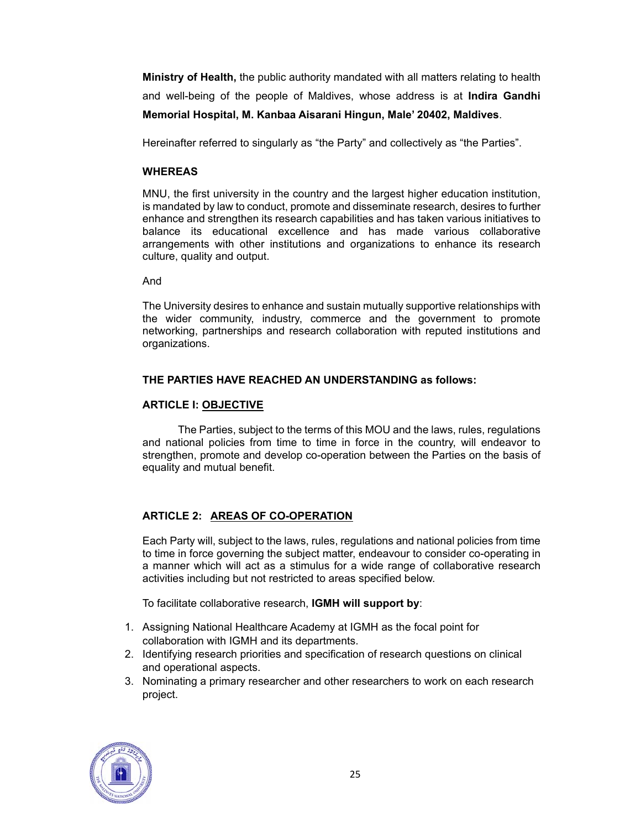**Ministry of Health,** the public authority mandated with all matters relating to health and well-being of the people of Maldives, whose address is at **Indira Gandhi Memorial Hospital, M. Kanbaa Aisarani Hingun, Male' 20402, Maldives**.

Hereinafter referred to singularly as "the Party" and collectively as "the Parties".

## **WHEREAS**

MNU, the first university in the country and the largest higher education institution, is mandated by law to conduct, promote and disseminate research, desires to further enhance and strengthen its research capabilities and has taken various initiatives to balance its educational excellence and has made various collaborative arrangements with other institutions and organizations to enhance its research culture, quality and output.

And

The University desires to enhance and sustain mutually supportive relationships with the wider community, industry, commerce and the government to promote networking, partnerships and research collaboration with reputed institutions and organizations.

### **THE PARTIES HAVE REACHED AN UNDERSTANDING as follows:**

### **ARTICLE I: OBJECTIVE**

The Parties, subject to the terms of this MOU and the laws, rules, regulations and national policies from time to time in force in the country, will endeavor to strengthen, promote and develop co-operation between the Parties on the basis of equality and mutual benefit.

## **ARTICLE 2: AREAS OF CO-OPERATION**

Each Party will, subject to the laws, rules, regulations and national policies from time to time in force governing the subject matter, endeavour to consider co-operating in a manner which will act as a stimulus for a wide range of collaborative research activities including but not restricted to areas specified below.

To facilitate collaborative research, **IGMH will support by**:

- 1. Assigning National Healthcare Academy at IGMH as the focal point for collaboration with IGMH and its departments.
- 2. Identifying research priorities and specification of research questions on clinical and operational aspects.
- 3. Nominating a primary researcher and other researchers to work on each research project.

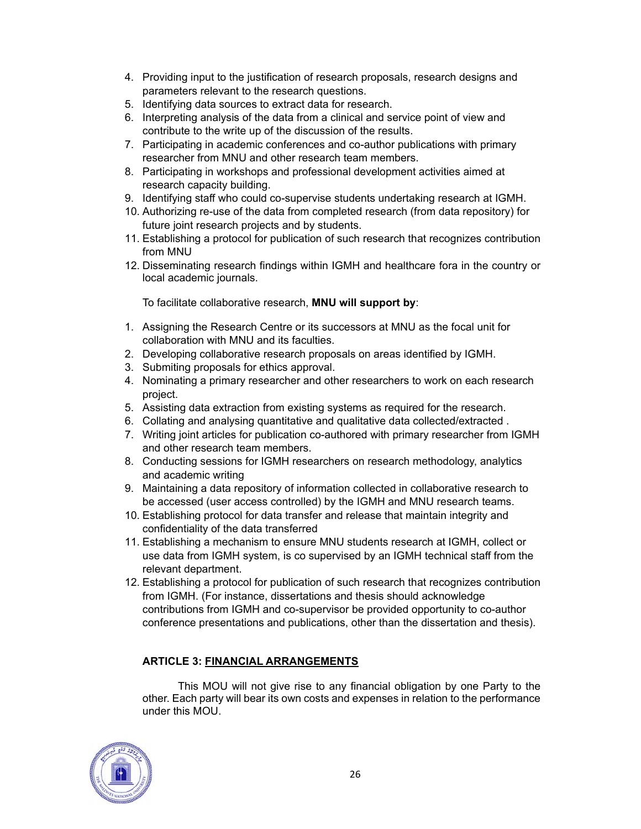- 4. Providing input to the justification of research proposals, research designs and parameters relevant to the research questions.
- 5. Identifying data sources to extract data for research.
- 6. Interpreting analysis of the data from a clinical and service point of view and contribute to the write up of the discussion of the results.
- 7. Participating in academic conferences and co-author publications with primary researcher from MNU and other research team members.
- 8. Participating in workshops and professional development activities aimed at research capacity building.
- 9. Identifying staff who could co-supervise students undertaking research at IGMH.
- 10. Authorizing re-use of the data from completed research (from data repository) for future joint research projects and by students.
- 11. Establishing a protocol for publication of such research that recognizes contribution from MNU
- 12. Disseminating research findings within IGMH and healthcare fora in the country or local academic journals.

To facilitate collaborative research, **MNU will support by**:

- 1. Assigning the Research Centre or its successors at MNU as the focal unit for collaboration with MNU and its faculties.
- 2. Developing collaborative research proposals on areas identified by IGMH.
- 3. Submiting proposals for ethics approval.
- 4. Nominating a primary researcher and other researchers to work on each research project.
- 5. Assisting data extraction from existing systems as required for the research.
- 6. Collating and analysing quantitative and qualitative data collected/extracted .
- 7. Writing joint articles for publication co-authored with primary researcher from IGMH and other research team members.
- 8. Conducting sessions for IGMH researchers on research methodology, analytics and academic writing
- 9. Maintaining a data repository of information collected in collaborative research to be accessed (user access controlled) by the IGMH and MNU research teams.
- 10. Establishing protocol for data transfer and release that maintain integrity and confidentiality of the data transferred
- 11. Establishing a mechanism to ensure MNU students research at IGMH, collect or use data from IGMH system, is co supervised by an IGMH technical staff from the relevant department.
- 12. Establishing a protocol for publication of such research that recognizes contribution from IGMH. (For instance, dissertations and thesis should acknowledge contributions from IGMH and co-supervisor be provided opportunity to co-author conference presentations and publications, other than the dissertation and thesis).

# **ARTICLE 3: FINANCIAL ARRANGEMENTS**

This MOU will not give rise to any financial obligation by one Party to the other. Each party will bear its own costs and expenses in relation to the performance under this MOU.

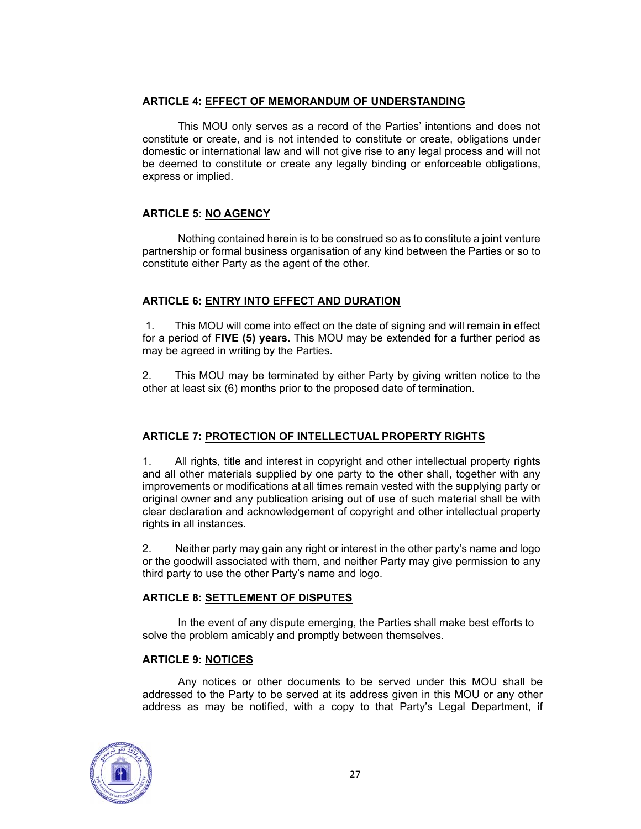### **ARTICLE 4: EFFECT OF MEMORANDUM OF UNDERSTANDING**

This MOU only serves as a record of the Parties' intentions and does not constitute or create, and is not intended to constitute or create, obligations under domestic or international law and will not give rise to any legal process and will not be deemed to constitute or create any legally binding or enforceable obligations, express or implied.

## **ARTICLE 5: NO AGENCY**

Nothing contained herein is to be construed so as to constitute a joint venture partnership or formal business organisation of any kind between the Parties or so to constitute either Party as the agent of the other.

### **ARTICLE 6: ENTRY INTO EFFECT AND DURATION**

1. This MOU will come into effect on the date of signing and will remain in effect for a period of **FIVE (5) years**. This MOU may be extended for a further period as may be agreed in writing by the Parties.

2. This MOU may be terminated by either Party by giving written notice to the other at least six (6) months prior to the proposed date of termination.

## **ARTICLE 7: PROTECTION OF INTELLECTUAL PROPERTY RIGHTS**

1. All rights, title and interest in copyright and other intellectual property rights and all other materials supplied by one party to the other shall, together with any improvements or modifications at all times remain vested with the supplying party or original owner and any publication arising out of use of such material shall be with clear declaration and acknowledgement of copyright and other intellectual property rights in all instances.

2. Neither party may gain any right or interest in the other party's name and logo or the goodwill associated with them, and neither Party may give permission to any third party to use the other Party's name and logo.

### **ARTICLE 8: SETTLEMENT OF DISPUTES**

In the event of any dispute emerging, the Parties shall make best efforts to solve the problem amicably and promptly between themselves.

### **ARTICLE 9: NOTICES**

Any notices or other documents to be served under this MOU shall be addressed to the Party to be served at its address given in this MOU or any other address as may be notified, with a copy to that Party's Legal Department, if

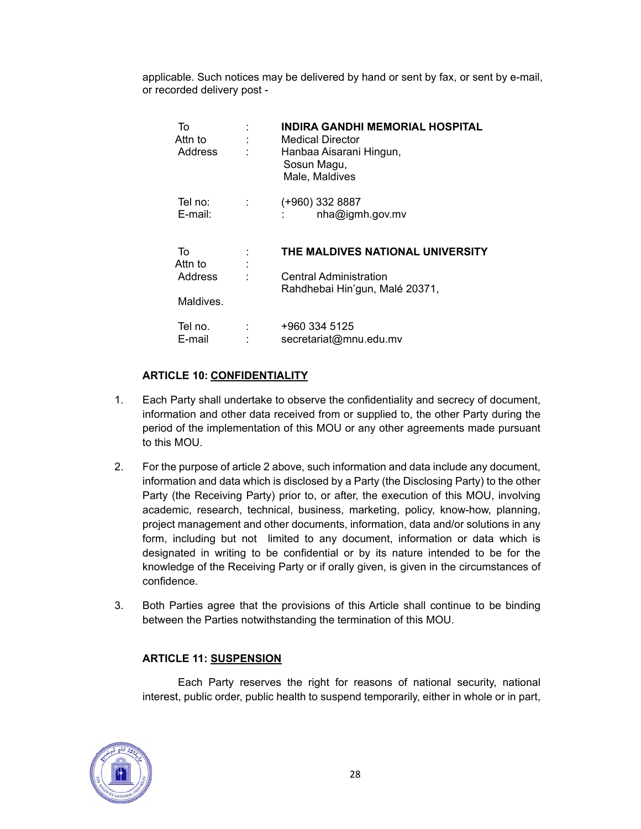applicable. Such notices may be delivered by hand or sent by fax, or sent by e-mail, or recorded delivery post -

| To<br>Attn to<br>Address              | INDIRA GANDHI MEMORIAL HOSPITAL<br><b>Medical Director</b><br>Hanbaa Aisarani Hingun,<br>Sosun Magu,<br>Male, Maldives |
|---------------------------------------|------------------------------------------------------------------------------------------------------------------------|
| Tel no:<br>E-mail:                    | (+960) 332 8887<br>nha@igmh.gov.mv                                                                                     |
| To<br>Attn to<br>Address<br>Maldives. | THE MALDIVES NATIONAL UNIVERSITY<br>Central Administration<br>Rahdhebai Hin'gun, Malé 20371,                           |
| Tel no.<br>E-mail                     | +960 334 5125<br>secretariat@mnu.edu.mv                                                                                |

# **ARTICLE 10: CONFIDENTIALITY**

- 1. Each Party shall undertake to observe the confidentiality and secrecy of document, information and other data received from or supplied to, the other Party during the period of the implementation of this MOU or any other agreements made pursuant to this MOU.
- 2. For the purpose of article 2 above, such information and data include any document, information and data which is disclosed by a Party (the Disclosing Party) to the other Party (the Receiving Party) prior to, or after, the execution of this MOU, involving academic, research, technical, business, marketing, policy, know-how, planning, project management and other documents, information, data and/or solutions in any form, including but not limited to any document, information or data which is designated in writing to be confidential or by its nature intended to be for the knowledge of the Receiving Party or if orally given, is given in the circumstances of confidence.
- 3. Both Parties agree that the provisions of this Article shall continue to be binding between the Parties notwithstanding the termination of this MOU.

## **ARTICLE 11: SUSPENSION**

Each Party reserves the right for reasons of national security, national interest, public order, public health to suspend temporarily, either in whole or in part,